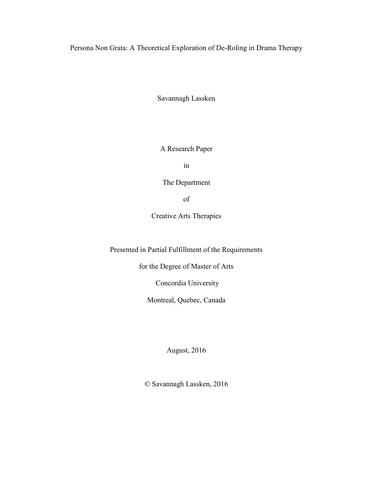Persona Non Grata: A Theoretical Exploration of De-Roling in Drama Therapy

Savannagh Lassken

A Research Paper

in

The Department

of

Creative Arts Therapies

Presented in Partial Fulfillment of the Requirements

for the Degree of Master of Arts

Concordia University

Montreal, Quebec, Canada

August, 2016

© Savannagh Lassken, 2016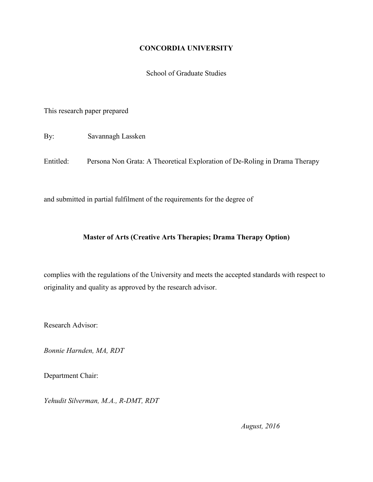# **CONCORDIA UNIVERSITY**

School of Graduate Studies

This research paper prepared

By: Savannagh Lassken

Entitled: Persona Non Grata: A Theoretical Exploration of De-Roling in Drama Therapy

and submitted in partial fulfilment of the requirements for the degree of

# **Master of Arts (Creative Arts Therapies; Drama Therapy Option)**

complies with the regulations of the University and meets the accepted standards with respect to originality and quality as approved by the research advisor.

Research Advisor:

*Bonnie Harnden, MA, RDT*

Department Chair:

*Yehudit Silverman, M.A., R-DMT, RDT*

*August, 2016*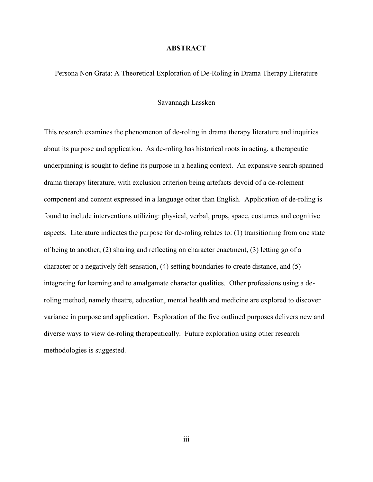#### **ABSTRACT**

Persona Non Grata: A Theoretical Exploration of De-Roling in Drama Therapy Literature

#### Savannagh Lassken

This research examines the phenomenon of de-roling in drama therapy literature and inquiries about its purpose and application. As de-roling has historical roots in acting, a therapeutic underpinning is sought to define its purpose in a healing context. An expansive search spanned drama therapy literature, with exclusion criterion being artefacts devoid of a de-rolement component and content expressed in a language other than English. Application of de-roling is found to include interventions utilizing: physical, verbal, props, space, costumes and cognitive aspects. Literature indicates the purpose for de-roling relates to: (1) transitioning from one state of being to another, (2) sharing and reflecting on character enactment, (3) letting go of a character or a negatively felt sensation, (4) setting boundaries to create distance, and (5) integrating for learning and to amalgamate character qualities. Other professions using a deroling method, namely theatre, education, mental health and medicine are explored to discover variance in purpose and application. Exploration of the five outlined purposes delivers new and diverse ways to view de-roling therapeutically. Future exploration using other research methodologies is suggested.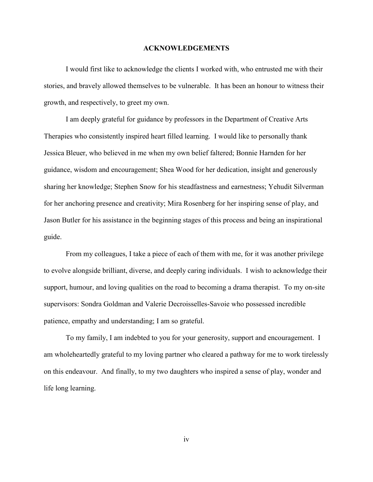#### **ACKNOWLEDGEMENTS**

I would first like to acknowledge the clients I worked with, who entrusted me with their stories, and bravely allowed themselves to be vulnerable. It has been an honour to witness their growth, and respectively, to greet my own.

I am deeply grateful for guidance by professors in the Department of Creative Arts Therapies who consistently inspired heart filled learning. I would like to personally thank Jessica Bleuer, who believed in me when my own belief faltered; Bonnie Harnden for her guidance, wisdom and encouragement; Shea Wood for her dedication, insight and generously sharing her knowledge; Stephen Snow for his steadfastness and earnestness; Yehudit Silverman for her anchoring presence and creativity; Mira Rosenberg for her inspiring sense of play, and Jason Butler for his assistance in the beginning stages of this process and being an inspirational guide.

From my colleagues, I take a piece of each of them with me, for it was another privilege to evolve alongside brilliant, diverse, and deeply caring individuals. I wish to acknowledge their support, humour, and loving qualities on the road to becoming a drama therapist. To my on-site supervisors: Sondra Goldman and Valerie Decroisselles-Savoie who possessed incredible patience, empathy and understanding; I am so grateful.

To my family, I am indebted to you for your generosity, support and encouragement. I am wholeheartedly grateful to my loving partner who cleared a pathway for me to work tirelessly on this endeavour. And finally, to my two daughters who inspired a sense of play, wonder and life long learning.

iv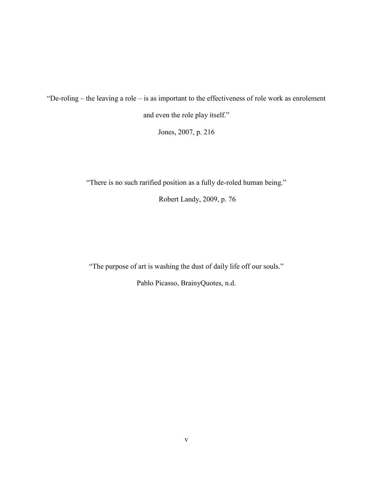"De-roling – the leaving a role – is as important to the effectiveness of role work as enrolement and even the role play itself."

Jones, 2007, p. 216

"There is no such rarified position as a fully de-roled human being."

Robert Landy, 2009, p. 76

"The purpose of art is washing the dust of daily life off our souls."

Pablo Picasso, BrainyQuotes, n.d.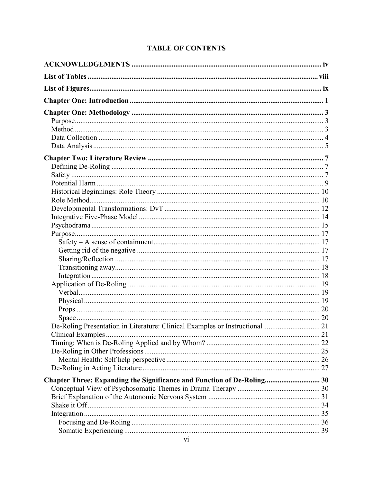# **TABLE OF CONTENTS**

| Chapter Three: Expanding the Significance and Function of De-Roling 30 |  |
|------------------------------------------------------------------------|--|
|                                                                        |  |
|                                                                        |  |
|                                                                        |  |
|                                                                        |  |
|                                                                        |  |
|                                                                        |  |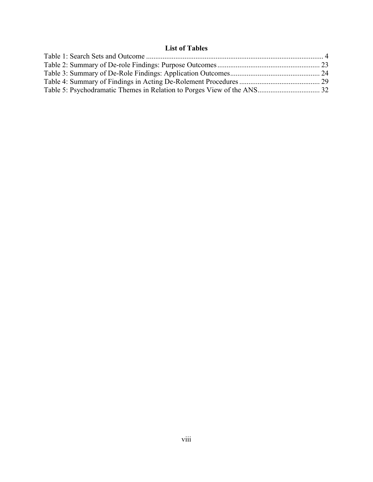# **List of Tables**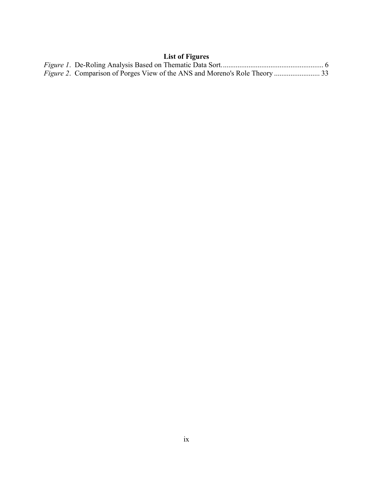# **List of Figures**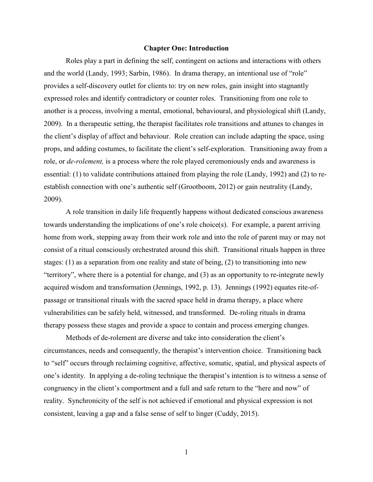#### **Chapter One: Introduction**

Roles play a part in defining the self, contingent on actions and interactions with others and the world (Landy, 1993; Sarbin, 1986). In drama therapy, an intentional use of "role" provides a self-discovery outlet for clients to: try on new roles, gain insight into stagnantly expressed roles and identify contradictory or counter roles. Transitioning from one role to another is a process, involving a mental, emotional, behavioural, and physiological shift (Landy, 2009). In a therapeutic setting, the therapist facilitates role transitions and attunes to changes in the client's display of affect and behaviour. Role creation can include adapting the space, using props, and adding costumes, to facilitate the client's self-exploration. Transitioning away from a role, or *de-rolement,* is a process where the role played ceremoniously ends and awareness is essential: (1) to validate contributions attained from playing the role (Landy, 1992) and (2) to reestablish connection with one's authentic self (Grootboom, 2012) or gain neutrality (Landy, 2009).

A role transition in daily life frequently happens without dedicated conscious awareness towards understanding the implications of one's role choice(s). For example, a parent arriving home from work, stepping away from their work role and into the role of parent may or may not consist of a ritual consciously orchestrated around this shift. Transitional rituals happen in three stages: (1) as a separation from one reality and state of being, (2) to transitioning into new "territory", where there is a potential for change, and (3) as an opportunity to re-integrate newly acquired wisdom and transformation (Jennings, 1992, p. 13). Jennings (1992) equates rite-ofpassage or transitional rituals with the sacred space held in drama therapy, a place where vulnerabilities can be safely held, witnessed, and transformed. De-roling rituals in drama therapy possess these stages and provide a space to contain and process emerging changes.

Methods of de-rolement are diverse and take into consideration the client's circumstances, needs and consequently, the therapist's intervention choice. Transitioning back to "self" occurs through reclaiming cognitive, affective, somatic, spatial, and physical aspects of one's identity. In applying a de-roling technique the therapist's intention is to witness a sense of congruency in the client's comportment and a full and safe return to the "here and now" of reality. Synchronicity of the self is not achieved if emotional and physical expression is not consistent, leaving a gap and a false sense of self to linger (Cuddy, 2015).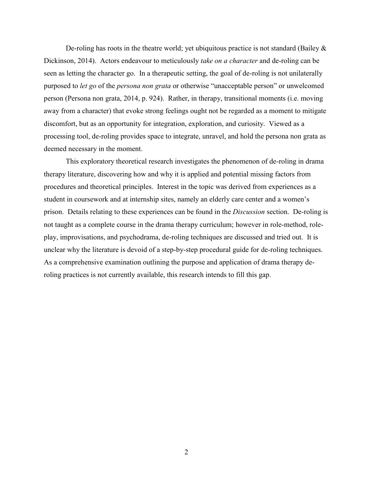De-roling has roots in the theatre world; yet ubiquitous practice is not standard (Bailey  $\&$ Dickinson, 2014). Actors endeavour to meticulously *take on a character* and de-roling can be seen as letting the character go. In a therapeutic setting, the goal of de-roling is not unilaterally purposed to *let go* of the *persona non grata* or otherwise "unacceptable person" or unwelcomed person (Persona non grata, 2014, p. 924). Rather, in therapy, transitional moments (i.e. moving away from a character) that evoke strong feelings ought not be regarded as a moment to mitigate discomfort, but as an opportunity for integration, exploration, and curiosity. Viewed as a processing tool, de-roling provides space to integrate, unravel, and hold the persona non grata as deemed necessary in the moment.

This exploratory theoretical research investigates the phenomenon of de-roling in drama therapy literature, discovering how and why it is applied and potential missing factors from procedures and theoretical principles. Interest in the topic was derived from experiences as a student in coursework and at internship sites, namely an elderly care center and a women's prison. Details relating to these experiences can be found in the *Discussion* section. De-roling is not taught as a complete course in the drama therapy curriculum; however in role-method, roleplay, improvisations, and psychodrama, de-roling techniques are discussed and tried out. It is unclear why the literature is devoid of a step-by-step procedural guide for de-roling techniques. As a comprehensive examination outlining the purpose and application of drama therapy deroling practices is not currently available, this research intends to fill this gap.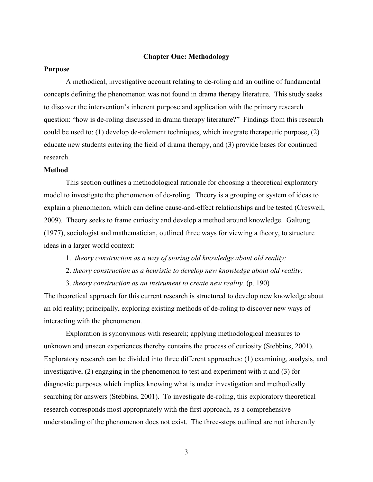### **Chapter One: Methodology**

#### **Purpose**

A methodical, investigative account relating to de-roling and an outline of fundamental concepts defining the phenomenon was not found in drama therapy literature. This study seeks to discover the intervention's inherent purpose and application with the primary research question: "how is de-roling discussed in drama therapy literature?" Findings from this research could be used to: (1) develop de-rolement techniques, which integrate therapeutic purpose, (2) educate new students entering the field of drama therapy, and (3) provide bases for continued research.

#### **Method**

This section outlines a methodological rationale for choosing a theoretical exploratory model to investigate the phenomenon of de-roling. Theory is a grouping or system of ideas to explain a phenomenon, which can define cause-and-effect relationships and be tested (Creswell, 2009). Theory seeks to frame curiosity and develop a method around knowledge. Galtung (1977), sociologist and mathematician, outlined three ways for viewing a theory, to structure ideas in a larger world context:

- 1. *theory construction as a way of storing old knowledge about old reality;*
- 2. *theory construction as a heuristic to develop new knowledge about old reality;*

3. *theory construction as an instrument to create new reality.* (p. 190) The theoretical approach for this current research is structured to develop new knowledge about an old reality; principally, exploring existing methods of de-roling to discover new ways of interacting with the phenomenon.

Exploration is synonymous with research; applying methodological measures to unknown and unseen experiences thereby contains the process of curiosity (Stebbins, 2001). Exploratory research can be divided into three different approaches: (1) examining, analysis, and investigative, (2) engaging in the phenomenon to test and experiment with it and (3) for diagnostic purposes which implies knowing what is under investigation and methodically searching for answers (Stebbins, 2001). To investigate de-roling, this exploratory theoretical research corresponds most appropriately with the first approach, as a comprehensive understanding of the phenomenon does not exist. The three-steps outlined are not inherently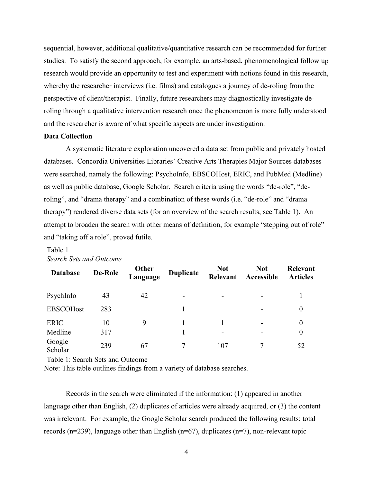sequential, however, additional qualitative/quantitative research can be recommended for further studies. To satisfy the second approach, for example, an arts-based, phenomenological follow up research would provide an opportunity to test and experiment with notions found in this research, whereby the researcher interviews (i.e. films) and catalogues a journey of de-roling from the perspective of client/therapist. Finally, future researchers may diagnostically investigate deroling through a qualitative intervention research once the phenomenon is more fully understood and the researcher is aware of what specific aspects are under investigation.

#### **Data Collection**

A systematic literature exploration uncovered a data set from public and privately hosted databases. Concordia Universities Libraries' Creative Arts Therapies Major Sources databases were searched, namely the following: PsychoInfo, EBSCOHost, ERIC, and PubMed (Medline) as well as public database, Google Scholar. Search criteria using the words "de-role", "deroling", and "drama therapy" and a combination of these words (i.e. "de-role" and "drama therapy") rendered diverse data sets (for an overview of the search results, see Table 1). An attempt to broaden the search with other means of definition, for example "stepping out of role" and "taking off a role", proved futile.

#### Table 1 *Search Sets and Outcome*

| <b>Database</b>   | <b>De-Role</b> | Other<br>Language | <b>Duplicate</b> | <b>Not</b><br>Relevant | <b>Not</b><br>Accessible | <b>Relevant</b><br><b>Articles</b> |
|-------------------|----------------|-------------------|------------------|------------------------|--------------------------|------------------------------------|
| PsychInfo         | 43             | 42                |                  |                        |                          |                                    |
| <b>EBSCOHost</b>  | 283            |                   |                  |                        |                          | $\theta$                           |
| <b>ERIC</b>       | 10             | 9                 |                  |                        |                          | $\boldsymbol{0}$                   |
| Medline           | 317            |                   |                  |                        |                          | $\boldsymbol{0}$                   |
| Google<br>Scholar | 239            | 67                |                  | 107                    |                          | 52                                 |

Table 1: Search Sets and Outcome

Note: This table outlines findings from a variety of database searches.

Records in the search were eliminated if the information: (1) appeared in another language other than English, (2) duplicates of articles were already acquired, or (3) the content was irrelevant. For example, the Google Scholar search produced the following results: total records (n=239), language other than English (n=67), duplicates (n=7), non-relevant topic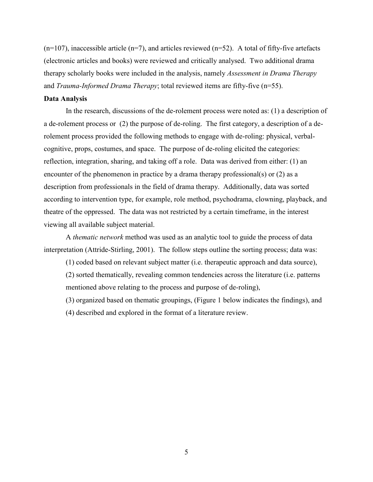$(n=107)$ , inaccessible article  $(n=7)$ , and articles reviewed  $(n=52)$ . A total of fifty-five artefacts (electronic articles and books) were reviewed and critically analysed. Two additional drama therapy scholarly books were included in the analysis, namely *Assessment in Drama Therapy* and *Trauma-Informed Drama Therapy*; total reviewed items are fifty-five (n=55).

### **Data Analysis**

In the research, discussions of the de-rolement process were noted as: (1) a description of a de-rolement process or (2) the purpose of de-roling. The first category, a description of a derolement process provided the following methods to engage with de-roling: physical, verbalcognitive, props, costumes, and space. The purpose of de-roling elicited the categories: reflection, integration, sharing, and taking off a role. Data was derived from either: (1) an encounter of the phenomenon in practice by a drama therapy professional(s) or (2) as a description from professionals in the field of drama therapy. Additionally, data was sorted according to intervention type, for example, role method, psychodrama, clowning, playback, and theatre of the oppressed. The data was not restricted by a certain timeframe, in the interest viewing all available subject material.

A *thematic network* method was used as an analytic tool to guide the process of data interpretation (Attride-Stirling, 2001). The follow steps outline the sorting process; data was:

(1) coded based on relevant subject matter (i.e. therapeutic approach and data source),

(2) sorted thematically, revealing common tendencies across the literature (i.e. patterns mentioned above relating to the process and purpose of de-roling),

(3) organized based on thematic groupings, (Figure 1 below indicates the findings), and

(4) described and explored in the format of a literature review.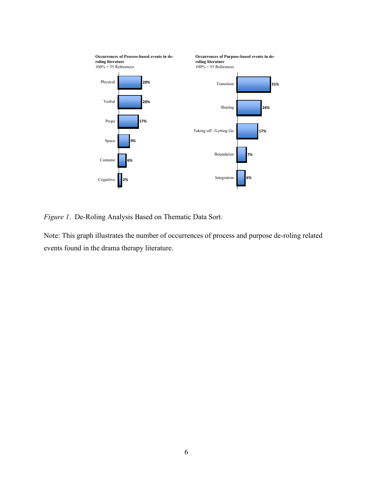

*Figure 1*. De-Roling Analysis Based on Thematic Data Sort.

Note: This graph illustrates the number of occurrences of process and purpose de-roling related events found in the drama therapy literature.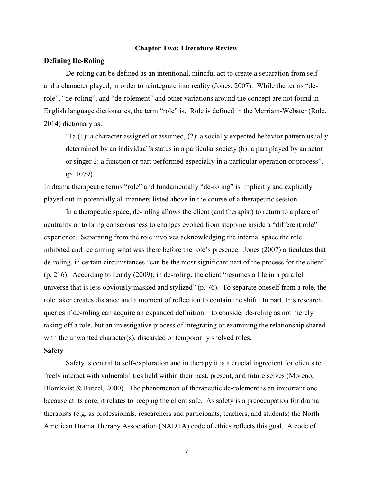#### **Chapter Two: Literature Review**

#### **Defining De-Roling**

De-roling can be defined as an intentional, mindful act to create a separation from self and a character played, in order to reintegrate into reality (Jones, 2007). While the terms "derole", "de-roling", and "de-rolement" and other variations around the concept are not found in English language dictionaries, the term "role" is. Role is defined in the Merriam-Webster (Role, 2014) dictionary as:

" $1a(1)$ : a character assigned or assumed,  $(2)$ : a socially expected behavior pattern usually determined by an individual's status in a particular society (b): a part played by an actor or singer 2: a function or part performed especially in a particular operation or process". (p. 1079)

In drama therapeutic terms "role" and fundamentally "de-roling" is implicitly and explicitly played out in potentially all manners listed above in the course of a therapeutic session.

In a therapeutic space, de-roling allows the client (and therapist) to return to a place of neutrality or to bring consciousness to changes evoked from stepping inside a "different role" experience. Separating from the role involves acknowledging the internal space the role inhibited and reclaiming what was there before the role's presence. Jones (2007) articulates that de-roling, in certain circumstances "can be the most significant part of the process for the client" (p. 216). According to Landy (2009), in de-roling, the client "resumes a life in a parallel universe that is less obviously masked and stylized" (p. 76). To separate oneself from a role, the role taker creates distance and a moment of reflection to contain the shift. In part, this research queries if de-roling can acquire an expanded definition – to consider de-roling as not merely taking off a role, but an investigative process of integrating or examining the relationship shared with the unwanted character(s), discarded or temporarily shelved roles.

#### **Safety**

Safety is central to self-exploration and in therapy it is a crucial ingredient for clients to freely interact with vulnerabilities held within their past, present, and future selves (Moreno, Blomkvist  $& Rutzel, 2000$ . The phenomenon of therapeutic de-rolement is an important one because at its core, it relates to keeping the client safe. As safety is a preoccupation for drama therapists (e.g. as professionals, researchers and participants, teachers, and students) the North American Drama Therapy Association (NADTA) code of ethics reflects this goal. A code of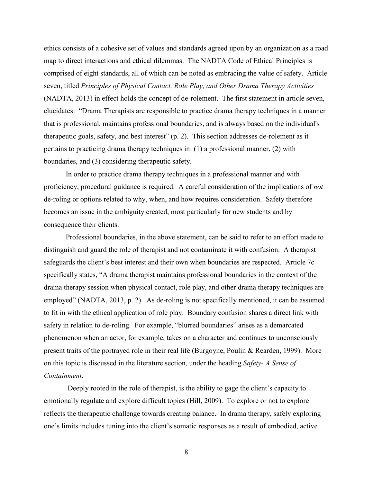ethics consists of a cohesive set of values and standards agreed upon by an organization as a road map to direct interactions and ethical dilemmas. The NADTA Code of Ethical Principles is comprised of eight standards, all of which can be noted as embracing the value of safety. Article seven, titled *Principles of Physical Contact, Role Play, and Other Drama Therapy Activities* (NADTA, 2013) in effect holds the concept of de-rolement. The first statement in article seven, elucidates: "Drama Therapists are responsible to practice drama therapy techniques in a manner that is professional, maintains professional boundaries, and is always based on the individual's therapeutic goals, safety, and best interest" (p. 2). This section addresses de-rolement as it pertains to practicing drama therapy techniques in: (1) a professional manner, (2) with boundaries, and (3) considering therapeutic safety.

In order to practice drama therapy techniques in a professional manner and with proficiency, procedural guidance is required. A careful consideration of the implications of *not* de-roling or options related to why, when, and how requires consideration. Safety therefore becomes an issue in the ambiguity created, most particularly for new students and by consequence their clients.

Professional boundaries, in the above statement, can be said to refer to an effort made to distinguish and guard the role of therapist and not contaminate it with confusion. A therapist safeguards the client's best interest and their own when boundaries are respected. Article 7c specifically states, "A drama therapist maintains professional boundaries in the context of the drama therapy session when physical contact, role play, and other drama therapy techniques are employed" (NADTA, 2013, p. 2). As de-roling is not specifically mentioned, it can be assumed to fit in with the ethical application of role play. Boundary confusion shares a direct link with safety in relation to de-roling. For example, "blurred boundaries" arises as a demarcated phenomenon when an actor, for example, takes on a character and continues to unconsciously present traits of the portrayed role in their real life (Burgoyne, Poulin & Rearden, 1999). More on this topic is discussed in the literature section, under the heading *Safety- A Sense of Containment*.

Deeply rooted in the role of therapist, is the ability to gage the client's capacity to emotionally regulate and explore difficult topics (Hill, 2009). To explore or not to explore reflects the therapeutic challenge towards creating balance. In drama therapy, safely exploring one's limits includes tuning into the client's somatic responses as a result of embodied, active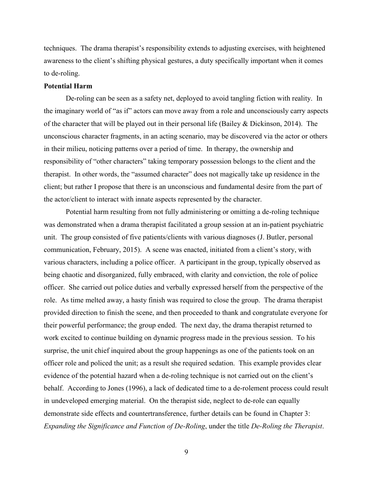techniques. The drama therapist's responsibility extends to adjusting exercises, with heightened awareness to the client's shifting physical gestures, a duty specifically important when it comes to de-roling.

#### **Potential Harm**

De-roling can be seen as a safety net, deployed to avoid tangling fiction with reality. In the imaginary world of "as if" actors can move away from a role and unconsciously carry aspects of the character that will be played out in their personal life (Bailey & Dickinson, 2014). The unconscious character fragments, in an acting scenario, may be discovered via the actor or others in their milieu, noticing patterns over a period of time. In therapy, the ownership and responsibility of "other characters" taking temporary possession belongs to the client and the therapist. In other words, the "assumed character" does not magically take up residence in the client; but rather I propose that there is an unconscious and fundamental desire from the part of the actor/client to interact with innate aspects represented by the character.

Potential harm resulting from not fully administering or omitting a de-roling technique was demonstrated when a drama therapist facilitated a group session at an in-patient psychiatric unit. The group consisted of five patients/clients with various diagnoses (J. Butler, personal communication, February, 2015). A scene was enacted, initiated from a client's story, with various characters, including a police officer. A participant in the group, typically observed as being chaotic and disorganized, fully embraced, with clarity and conviction, the role of police officer. She carried out police duties and verbally expressed herself from the perspective of the role. As time melted away, a hasty finish was required to close the group. The drama therapist provided direction to finish the scene, and then proceeded to thank and congratulate everyone for their powerful performance; the group ended. The next day, the drama therapist returned to work excited to continue building on dynamic progress made in the previous session. To his surprise, the unit chief inquired about the group happenings as one of the patients took on an officer role and policed the unit; as a result she required sedation. This example provides clear evidence of the potential hazard when a de-roling technique is not carried out on the client's behalf. According to Jones (1996), a lack of dedicated time to a de-rolement process could result in undeveloped emerging material.On the therapist side, neglect to de-role can equally demonstrate side effects and countertransference, further details can be found in Chapter 3: *Expanding the Significance and Function of De-Roling*, under the title *De-Roling the Therapist*.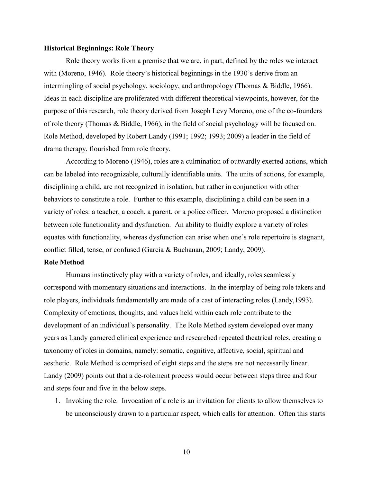#### **Historical Beginnings: Role Theory**

Role theory works from a premise that we are, in part, defined by the roles we interact with (Moreno, 1946). Role theory's historical beginnings in the 1930's derive from an intermingling of social psychology, sociology, and anthropology (Thomas & Biddle, 1966). Ideas in each discipline are proliferated with different theoretical viewpoints, however, for the purpose of this research, role theory derived from Joseph Levy Moreno, one of the co-founders of role theory (Thomas & Biddle, 1966), in the field of social psychology will be focused on. Role Method, developed by Robert Landy (1991; 1992; 1993; 2009) a leader in the field of drama therapy, flourished from role theory.

According to Moreno (1946), roles are a culmination of outwardly exerted actions, which can be labeled into recognizable, culturally identifiable units. The units of actions, for example, disciplining a child, are not recognized in isolation, but rather in conjunction with other behaviors to constitute a role. Further to this example, disciplining a child can be seen in a variety of roles: a teacher, a coach, a parent, or a police officer. Moreno proposed a distinction between role functionality and dysfunction. An ability to fluidly explore a variety of roles equates with functionality, whereas dysfunction can arise when one's role repertoire is stagnant, conflict filled, tense, or confused (Garcia & Buchanan, 2009; Landy, 2009).

#### **Role Method**

Humans instinctively play with a variety of roles, and ideally, roles seamlessly correspond with momentary situations and interactions. In the interplay of being role takers and role players, individuals fundamentally are made of a cast of interacting roles (Landy,1993). Complexity of emotions, thoughts, and values held within each role contribute to the development of an individual's personality. The Role Method system developed over many years as Landy garnered clinical experience and researched repeated theatrical roles, creating a taxonomy of roles in domains, namely: somatic, cognitive, affective, social, spiritual and aesthetic. Role Method is comprised of eight steps and the steps are not necessarily linear. Landy (2009) points out that a de-rolement process would occur between steps three and four and steps four and five in the below steps.

1. Invoking the role. Invocation of a role is an invitation for clients to allow themselves to be unconsciously drawn to a particular aspect, which calls for attention. Often this starts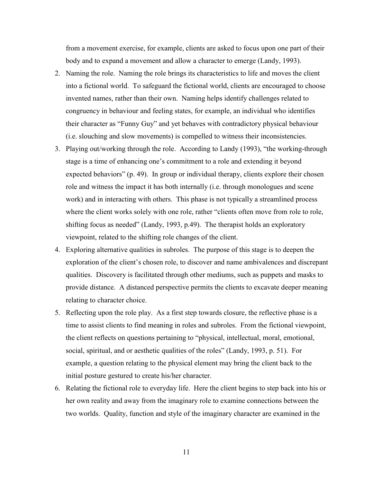from a movement exercise, for example, clients are asked to focus upon one part of their body and to expand a movement and allow a character to emerge (Landy, 1993).

- 2. Naming the role. Naming the role brings its characteristics to life and moves the client into a fictional world. To safeguard the fictional world, clients are encouraged to choose invented names, rather than their own. Naming helps identify challenges related to congruency in behaviour and feeling states, for example, an individual who identifies their character as "Funny Guy" and yet behaves with contradictory physical behaviour (i.e. slouching and slow movements) is compelled to witness their inconsistencies.
- 3. Playing out/working through the role. According to Landy (1993), "the working-through stage is a time of enhancing one's commitment to a role and extending it beyond expected behaviors" (p. 49). In group or individual therapy, clients explore their chosen role and witness the impact it has both internally (i.e. through monologues and scene work) and in interacting with others. This phase is not typically a streamlined process where the client works solely with one role, rather "clients often move from role to role, shifting focus as needed" (Landy, 1993, p.49). The therapist holds an exploratory viewpoint, related to the shifting role changes of the client.
- 4. Exploring alternative qualities in subroles. The purpose of this stage is to deepen the exploration of the client's chosen role, to discover and name ambivalences and discrepant qualities. Discovery is facilitated through other mediums, such as puppets and masks to provide distance. A distanced perspective permits the clients to excavate deeper meaning relating to character choice.
- 5. Reflecting upon the role play. As a first step towards closure, the reflective phase is a time to assist clients to find meaning in roles and subroles. From the fictional viewpoint, the client reflects on questions pertaining to "physical, intellectual, moral, emotional, social, spiritual, and or aesthetic qualities of the roles" (Landy, 1993, p. 51). For example, a question relating to the physical element may bring the client back to the initial posture gestured to create his/her character.
- 6. Relating the fictional role to everyday life. Here the client begins to step back into his or her own reality and away from the imaginary role to examine connections between the two worlds. Quality, function and style of the imaginary character are examined in the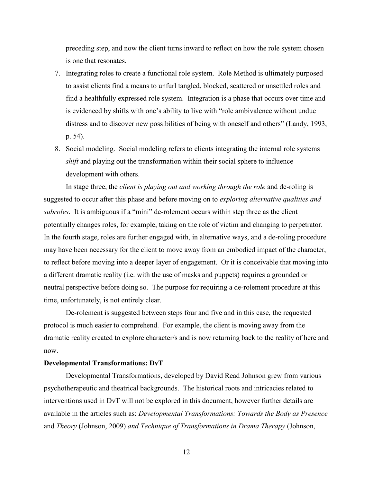preceding step, and now the client turns inward to reflect on how the role system chosen is one that resonates.

- 7. Integrating roles to create a functional role system. Role Method is ultimately purposed to assist clients find a means to unfurl tangled, blocked, scattered or unsettled roles and find a healthfully expressed role system. Integration is a phase that occurs over time and is evidenced by shifts with one's ability to live with "role ambivalence without undue distress and to discover new possibilities of being with oneself and others" (Landy, 1993, p. 54).
- 8. Social modeling. Social modeling refers to clients integrating the internal role systems *shift* and playing out the transformation within their social sphere to influence development with others.

In stage three, the *client is playing out and working through the role* and de-roling is suggested to occur after this phase and before moving on to *exploring alternative qualities and subroles*. It is ambiguous if a "mini" de-rolement occurs within step three as the client potentially changes roles, for example, taking on the role of victim and changing to perpetrator. In the fourth stage, roles are further engaged with, in alternative ways, and a de-roling procedure may have been necessary for the client to move away from an embodied impact of the character, to reflect before moving into a deeper layer of engagement. Or it is conceivable that moving into a different dramatic reality (i.e. with the use of masks and puppets) requires a grounded or neutral perspective before doing so. The purpose for requiring a de-rolement procedure at this time, unfortunately, is not entirely clear.

De-rolement is suggested between steps four and five and in this case, the requested protocol is much easier to comprehend. For example, the client is moving away from the dramatic reality created to explore character/s and is now returning back to the reality of here and now.

#### **Developmental Transformations: DvT**

Developmental Transformations, developed by David Read Johnson grew from various psychotherapeutic and theatrical backgrounds. The historical roots and intricacies related to interventions used in DvT will not be explored in this document, however further details are available in the articles such as: *Developmental Transformations: Towards the Body as Presence* and *Theory* (Johnson, 2009) *and Technique of Transformations in Drama Therapy* (Johnson,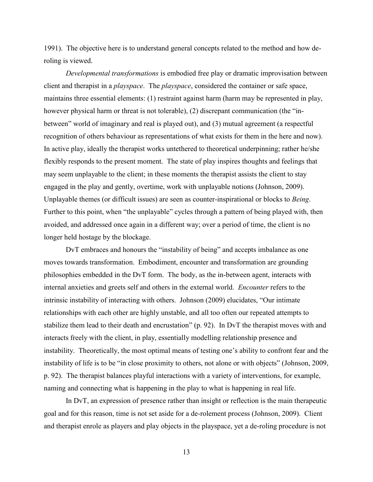1991). The objective here is to understand general concepts related to the method and how deroling is viewed.

*Developmental transformations* is embodied free play or dramatic improvisation between client and therapist in a *playspace*. The *playspace*, considered the container or safe space, maintains three essential elements: (1) restraint against harm (harm may be represented in play, however physical harm or threat is not tolerable), (2) discrepant communication (the "inbetween" world of imaginary and real is played out), and (3) mutual agreement (a respectful recognition of others behaviour as representations of what exists for them in the here and now). In active play, ideally the therapist works untethered to theoretical underpinning; rather he/she flexibly responds to the present moment. The state of play inspires thoughts and feelings that may seem unplayable to the client; in these moments the therapist assists the client to stay engaged in the play and gently, overtime, work with unplayable notions (Johnson, 2009). Unplayable themes (or difficult issues) are seen as counter-inspirational or blocks to *Being*. Further to this point, when "the unplayable" cycles through a pattern of being played with, then avoided, and addressed once again in a different way; over a period of time, the client is no longer held hostage by the blockage.

DvT embraces and honours the "instability of being" and accepts imbalance as one moves towards transformation. Embodiment, encounter and transformation are grounding philosophies embedded in the DvT form. The body, as the in-between agent, interacts with internal anxieties and greets self and others in the external world. *Encounter* refers to the intrinsic instability of interacting with others. Johnson (2009) elucidates, "Our intimate relationships with each other are highly unstable, and all too often our repeated attempts to stabilize them lead to their death and encrustation" (p. 92). In DvT the therapist moves with and interacts freely with the client, in play, essentially modelling relationship presence and instability. Theoretically, the most optimal means of testing one's ability to confront fear and the instability of life is to be "in close proximity to others, not alone or with objects" (Johnson, 2009, p. 92). The therapist balances playful interactions with a variety of interventions, for example, naming and connecting what is happening in the play to what is happening in real life.

In DvT, an expression of presence rather than insight or reflection is the main therapeutic goal and for this reason, time is not set aside for a de-rolement process (Johnson, 2009). Client and therapist enrole as players and play objects in the playspace, yet a de-roling procedure is not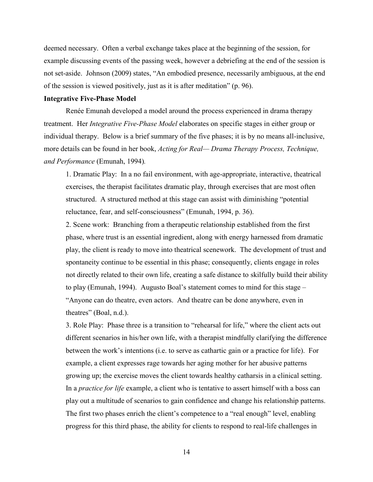deemed necessary. Often a verbal exchange takes place at the beginning of the session, for example discussing events of the passing week, however a debriefing at the end of the session is not set-aside. Johnson (2009) states, "An embodied presence, necessarily ambiguous, at the end of the session is viewed positively, just as it is after meditation" (p. 96).

#### **Integrative Five-Phase Model**

Renée Emunah developed a model around the process experienced in drama therapy treatment. Her *Integrative Five-Phase Model* elaborates on specific stages in either group or individual therapy. Below is a brief summary of the five phases; it is by no means all-inclusive, more details can be found in her book, *Acting for Real— Drama Therapy Process, Technique, and Performance* (Emunah, 1994)*.*

1. Dramatic Play: In a no fail environment, with age-appropriate, interactive, theatrical exercises, the therapist facilitates dramatic play, through exercises that are most often structured. A structured method at this stage can assist with diminishing "potential reluctance, fear, and self-consciousness" (Emunah, 1994, p. 36).

2. Scene work: Branching from a therapeutic relationship established from the first phase, where trust is an essential ingredient, along with energy harnessed from dramatic play, the client is ready to move into theatrical scenework. The development of trust and spontaneity continue to be essential in this phase; consequently, clients engage in roles not directly related to their own life, creating a safe distance to skilfully build their ability to play (Emunah, 1994). Augusto Boal's statement comes to mind for this stage – "Anyone can do theatre, even actors. And theatre can be done anywhere, even in theatres" (Boal, n.d.).

3. Role Play: Phase three is a transition to "rehearsal for life," where the client acts out different scenarios in his/her own life, with a therapist mindfully clarifying the difference between the work's intentions (i.e. to serve as cathartic gain or a practice for life). For example, a client expresses rage towards her aging mother for her abusive patterns growing up; the exercise moves the client towards healthy catharsis in a clinical setting. In a *practice for life* example, a client who is tentative to assert himself with a boss can play out a multitude of scenarios to gain confidence and change his relationship patterns. The first two phases enrich the client's competence to a "real enough" level, enabling progress for this third phase, the ability for clients to respond to real-life challenges in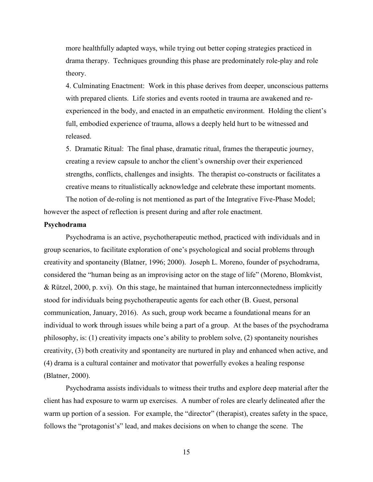more healthfully adapted ways, while trying out better coping strategies practiced in drama therapy. Techniques grounding this phase are predominately role-play and role theory.

4. Culminating Enactment: Work in this phase derives from deeper, unconscious patterns with prepared clients. Life stories and events rooted in trauma are awakened and reexperienced in the body, and enacted in an empathetic environment. Holding the client's full, embodied experience of trauma, allows a deeply held hurt to be witnessed and released.

5. Dramatic Ritual: The final phase, dramatic ritual, frames the therapeutic journey, creating a review capsule to anchor the client's ownership over their experienced strengths, conflicts, challenges and insights. The therapist co-constructs or facilitates a creative means to ritualistically acknowledge and celebrate these important moments.

The notion of de-roling is not mentioned as part of the Integrative Five-Phase Model; however the aspect of reflection is present during and after role enactment.

## **Psychodrama**

Psychodrama is an active, psychotherapeutic method, practiced with individuals and in group scenarios, to facilitate exploration of one's psychological and social problems through creativity and spontaneity (Blatner, 1996; 2000). Joseph L. Moreno, founder of psychodrama, considered the "human being as an improvising actor on the stage of life" (Moreno, Blomkvist, & Rützel, 2000, p. xvi). On this stage, he maintained that human interconnectedness implicitly stood for individuals being psychotherapeutic agents for each other (B. Guest, personal communication, January, 2016). As such, group work became a foundational means for an individual to work through issues while being a part of a group. At the bases of the psychodrama philosophy, is: (1) creativity impacts one's ability to problem solve, (2) spontaneity nourishes creativity, (3) both creativity and spontaneity are nurtured in play and enhanced when active, and (4) drama is a cultural container and motivator that powerfully evokes a healing response (Blatner, 2000).

Psychodrama assists individuals to witness their truths and explore deep material after the client has had exposure to warm up exercises. A number of roles are clearly delineated after the warm up portion of a session. For example, the "director" (therapist), creates safety in the space, follows the "protagonist's" lead, and makes decisions on when to change the scene. The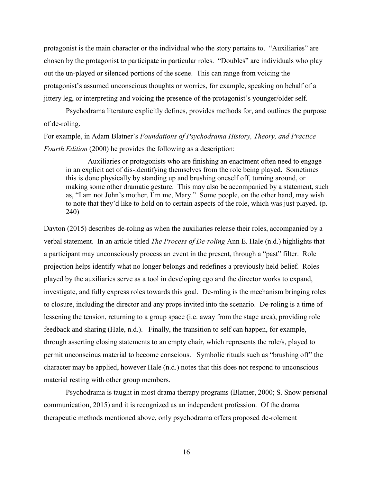protagonist is the main character or the individual who the story pertains to. "Auxiliaries" are chosen by the protagonist to participate in particular roles. "Doubles" are individuals who play out the un-played or silenced portions of the scene. This can range from voicing the protagonist's assumed unconscious thoughts or worries, for example, speaking on behalf of a jittery leg, or interpreting and voicing the presence of the protagonist's younger/older self.

Psychodrama literature explicitly defines, provides methods for, and outlines the purpose of de-roling.

For example, in Adam Blatner's *Foundations of Psychodrama History, Theory, and Practice Fourth Edition* (2000) he provides the following as a description:

Auxiliaries or protagonists who are finishing an enactment often need to engage in an explicit act of dis-identifying themselves from the role being played. Sometimes this is done physically by standing up and brushing oneself off, turning around, or making some other dramatic gesture. This may also be accompanied by a statement, such as, "I am not John's mother, I'm me, Mary." Some people, on the other hand, may wish to note that they'd like to hold on to certain aspects of the role, which was just played. (p. 240)

Dayton (2015) describes de-roling as when the auxiliaries release their roles, accompanied by a verbal statement. In an article titled *The Process of De-roling* Ann E. Hale (n.d.) highlights that a participant may unconsciously process an event in the present, through a "past" filter. Role projection helps identify what no longer belongs and redefines a previously held belief. Roles played by the auxiliaries serve as a tool in developing ego and the director works to expand, investigate, and fully express roles towards this goal. De-roling is the mechanism bringing roles to closure, including the director and any props invited into the scenario. De-roling is a time of lessening the tension, returning to a group space (i.e. away from the stage area), providing role feedback and sharing (Hale, n.d.). Finally, the transition to self can happen, for example, through asserting closing statements to an empty chair, which represents the role/s, played to permit unconscious material to become conscious. Symbolic rituals such as "brushing off" the character may be applied, however Hale (n.d.) notes that this does not respond to unconscious material resting with other group members.

Psychodrama is taught in most drama therapy programs (Blatner, 2000; S. Snow personal communication, 2015) and it is recognized as an independent profession. Of the drama therapeutic methods mentioned above, only psychodrama offers proposed de-rolement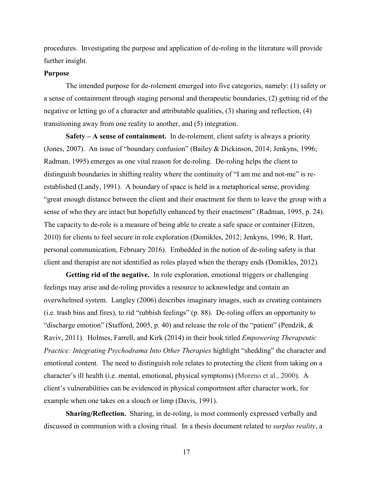procedures. Investigating the purpose and application of de-roling in the literature will provide further insight.

## **Purpose**

The intended purpose for de-rolement emerged into five categories, namely: (1) safety or a sense of containment through staging personal and therapeutic boundaries, (2) getting rid of the negative or letting go of a character and attributable qualities, (3) sharing and reflection, (4) transitioning away from one reality to another, and (5) integration.

**Safety – A sense of containment.** In de-rolement, client safety is always a priority (Jones, 2007). An issue of "boundary confusion" (Bailey & Dickinson, 2014; Jenkyns, 1996; Radman, 1995) emerges as one vital reason for de-roling. De-roling helps the client to distinguish boundaries in shifting reality where the continuity of "I am me and not-me" is reestablished (Landy, 1991). A boundary of space is held in a metaphorical sense, providing "great enough distance between the client and their enactment for them to leave the group with a sense of who they are intact but hopefully enhanced by their enactment" (Radman, 1995, p. 24). The capacity to de-role is a measure of being able to create a safe space or container (Eitzen, 2010) for clients to feel secure in role exploration (Domikles, 2012; Jenkyns, 1996; R. Hart, personal communication, February 2016). Embedded in the notion of de-roling safety is that client and therapist are not identified as roles played when the therapy ends (Domikles, 2012).

**Getting rid of the negative.** In role exploration, emotional triggers or challenging feelings may arise and de-roling provides a resource to acknowledge and contain an overwhelmed system. Langley (2006) describes imaginary images, such as creating containers (i.e. trash bins and fires), to rid "rubbish feelings" (p. 88). De-roling offers an opportunity to "discharge emotion" (Stafford, 2005, p. 40) and release the role of the "patient" (Pendzik, & Raviv, 2011). Holmes, Farrell, and Kirk (2014) in their book titled *Empowering Therapeutic Practice: Integrating Psychodrama Into Other Therapies* highlight "shedding" the character and emotional content. The need to distinguish role relates to protecting the client from taking on a character's ill health (i.e. mental, emotional, physical symptoms) (Moreno et al., 2000). A client's vulnerabilities can be evidenced in physical comportment after character work, for example when one takes on a slouch or limp (Davis, 1991).

**Sharing/Reflection.** Sharing, in de-roling, is most commonly expressed verbally and discussed in communion with a closing ritual. In a thesis document related to *surplus reality*, a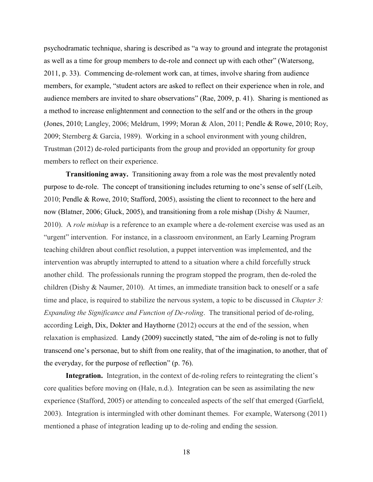psychodramatic technique, sharing is described as "a way to ground and integrate the protagonist as well as a time for group members to de-role and connect up with each other" (Watersong, 2011, p. 33). Commencing de-rolement work can, at times, involve sharing from audience members, for example, "student actors are asked to reflect on their experience when in role, and audience members are invited to share observations" (Rae, 2009, p. 41). Sharing is mentioned as a method to increase enlightenment and connection to the self and or the others in the group (Jones, 2010; Langley, 2006; Meldrum, 1999; Moran & Alon, 2011; Pendle & Rowe, 2010; Roy, 2009; Sternberg & Garcia, 1989). Working in a school environment with young children, Trustman (2012) de-roled participants from the group and provided an opportunity for group members to reflect on their experience.

**Transitioning away.** Transitioning away from a role was the most prevalently noted purpose to de-role. The concept of transitioning includes returning to one's sense of self (Leib, 2010; Pendle & Rowe, 2010; Stafford, 2005), assisting the client to reconnect to the here and now (Blatner, 2006; Gluck, 2005), and transitioning from a role mishap (Dishy & Naumer, 2010). A *role mishap* is a reference to an example where a de-rolement exercise was used as an "urgent" intervention. For instance, in a classroom environment, an Early Learning Program teaching children about conflict resolution, a puppet intervention was implemented, and the intervention was abruptly interrupted to attend to a situation where a child forcefully struck another child. The professionals running the program stopped the program, then de-roled the children (Dishy & Naumer, 2010). At times, an immediate transition back to oneself or a safe time and place, is required to stabilize the nervous system, a topic to be discussed in *Chapter 3: Expanding the Significance and Function of De-roling*. The transitional period of de-roling, according Leigh, Dix, Dokter and Haythorne (2012) occurs at the end of the session, when relaxation is emphasized. Landy (2009) succinctly stated, "the aim of de-roling is not to fully transcend one's personae, but to shift from one reality, that of the imagination, to another, that of the everyday, for the purpose of reflection" (p. 76).

**Integration.** Integration, in the context of de-roling refers to reintegrating the client's core qualities before moving on (Hale, n.d.). Integration can be seen as assimilating the new experience (Stafford, 2005) or attending to concealed aspects of the self that emerged (Garfield, 2003). Integration is intermingled with other dominant themes. For example, Watersong (2011) mentioned a phase of integration leading up to de-roling and ending the session.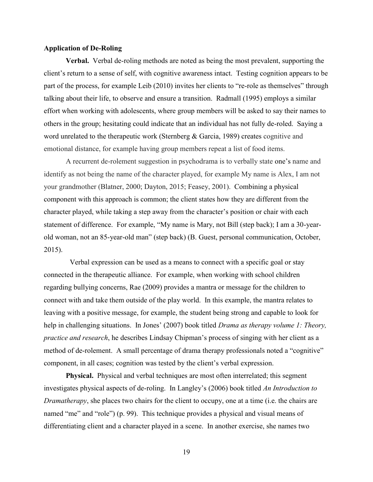### **Application of De-Roling**

**Verbal.** Verbal de-roling methods are noted as being the most prevalent, supporting the client's return to a sense of self, with cognitive awareness intact. Testing cognition appears to be part of the process, for example Leib (2010) invites her clients to "re-role as themselves" through talking about their life, to observe and ensure a transition. Radmall (1995) employs a similar effort when working with adolescents, where group members will be asked to say their names to others in the group; hesitating could indicate that an individual has not fully de-roled. Saying a word unrelated to the therapeutic work (Sternberg & Garcia, 1989) creates cognitive and emotional distance, for example having group members repeat a list of food items.

A recurrent de-rolement suggestion in psychodrama is to verbally state one's name and identify as not being the name of the character played, for example My name is Alex, I am not your grandmother (Blatner, 2000; Dayton, 2015; Feasey, 2001). Combining a physical component with this approach is common; the client states how they are different from the character played, while taking a step away from the character's position or chair with each statement of difference. For example, "My name is Mary, not Bill (step back); I am a 30-yearold woman, not an 85-year-old man" (step back) (B. Guest, personal communication, October, 2015).

Verbal expression can be used as a means to connect with a specific goal or stay connected in the therapeutic alliance. For example, when working with school children regarding bullying concerns, Rae (2009) provides a mantra or message for the children to connect with and take them outside of the play world. In this example, the mantra relates to leaving with a positive message, for example, the student being strong and capable to look for help in challenging situations. In Jones' (2007) book titled *Drama as therapy volume 1: Theory, practice and research*, he describes Lindsay Chipman's process of singing with her client as a method of de-rolement. A small percentage of drama therapy professionals noted a "cognitive" component, in all cases; cognition was tested by the client's verbal expression.

**Physical.** Physical and verbal techniques are most often interrelated; this segment investigates physical aspects of de-roling. In Langley's (2006) book titled *An Introduction to Dramatherapy*, she places two chairs for the client to occupy, one at a time (i.e. the chairs are named "me" and "role") (p. 99). This technique provides a physical and visual means of differentiating client and a character played in a scene. In another exercise, she names two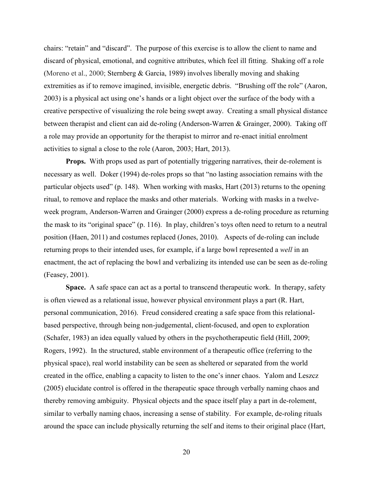chairs: "retain" and "discard". The purpose of this exercise is to allow the client to name and discard of physical, emotional, and cognitive attributes, which feel ill fitting. Shaking off a role (Moreno et al., 2000; Sternberg & Garcia, 1989) involves liberally moving and shaking extremities as if to remove imagined, invisible, energetic debris. "Brushing off the role" (Aaron, 2003) is a physical act using one's hands or a light object over the surface of the body with a creative perspective of visualizing the role being swept away. Creating a small physical distance between therapist and client can aid de-roling (Anderson-Warren & Grainger, 2000). Taking off a role may provide an opportunity for the therapist to mirror and re-enact initial enrolment activities to signal a close to the role (Aaron, 2003; Hart, 2013).

**Props.** With props used as part of potentially triggering narratives, their de-rolement is necessary as well. Doker (1994) de-roles props so that "no lasting association remains with the particular objects used" (p. 148). When working with masks, Hart (2013) returns to the opening ritual, to remove and replace the masks and other materials. Working with masks in a twelveweek program, Anderson-Warren and Grainger (2000) express a de-roling procedure as returning the mask to its "original space" (p. 116). In play, children's toys often need to return to a neutral position (Haen, 2011) and costumes replaced (Jones, 2010). Aspects of de-roling can include returning props to their intended uses, for example, if a large bowl represented a *well* in an enactment, the act of replacing the bowl and verbalizing its intended use can be seen as de-roling (Feasey, 2001).

**Space.** A safe space can act as a portal to transcend therapeutic work. In therapy, safety is often viewed as a relational issue, however physical environment plays a part (R. Hart, personal communication, 2016). Freud considered creating a safe space from this relationalbased perspective, through being non-judgemental, client-focused, and open to exploration (Schafer, 1983) an idea equally valued by others in the psychotherapeutic field (Hill, 2009; Rogers, 1992). In the structured, stable environment of a therapeutic office (referring to the physical space), real world instability can be seen as sheltered or separated from the world created in the office, enabling a capacity to listen to the one's inner chaos. Yalom and Leszcz (2005) elucidate control is offered in the therapeutic space through verbally naming chaos and thereby removing ambiguity. Physical objects and the space itself play a part in de-rolement, similar to verbally naming chaos, increasing a sense of stability. For example, de-roling rituals around the space can include physically returning the self and items to their original place (Hart,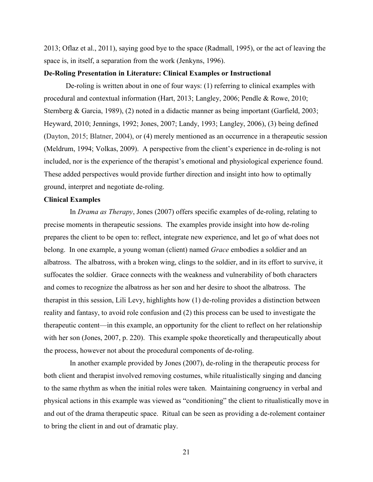2013; Oflaz et al., 2011), saying good bye to the space (Radmall, 1995), or the act of leaving the space is, in itself, a separation from the work (Jenkyns, 1996).

#### **De-Roling Presentation in Literature: Clinical Examples or Instructional**

De-roling is written about in one of four ways: (1) referring to clinical examples with procedural and contextual information (Hart, 2013; Langley, 2006; Pendle & Rowe, 2010; Sternberg & Garcia, 1989), (2) noted in a didactic manner as being important (Garfield, 2003; Heyward, 2010; Jennings, 1992; Jones, 2007; Landy, 1993; Langley, 2006), (3) being defined (Dayton, 2015; Blatner, 2004), or (4) merely mentioned as an occurrence in a therapeutic session (Meldrum, 1994; Volkas, 2009). A perspective from the client's experience in de-roling is not included, nor is the experience of the therapist's emotional and physiological experience found. These added perspectives would provide further direction and insight into how to optimally ground, interpret and negotiate de-roling.

#### **Clinical Examples**

In *Drama as Therapy*, Jones (2007) offers specific examples of de-roling, relating to precise moments in therapeutic sessions. The examples provide insight into how de-roling prepares the client to be open to: reflect, integrate new experience, and let go of what does not belong. In one example, a young woman (client) named *Grace* embodies a soldier and an albatross. The albatross, with a broken wing, clings to the soldier, and in its effort to survive, it suffocates the soldier. Grace connects with the weakness and vulnerability of both characters and comes to recognize the albatross as her son and her desire to shoot the albatross. The therapist in this session, Lili Levy, highlights how (1) de-roling provides a distinction between reality and fantasy, to avoid role confusion and (2) this process can be used to investigate the therapeutic content—in this example, an opportunity for the client to reflect on her relationship with her son (Jones, 2007, p. 220). This example spoke theoretically and therapeutically about the process, however not about the procedural components of de-roling.

In another example provided by Jones (2007), de-roling in the therapeutic process for both client and therapist involved removing costumes, while ritualistically singing and dancing to the same rhythm as when the initial roles were taken. Maintaining congruency in verbal and physical actions in this example was viewed as "conditioning" the client to ritualistically move in and out of the drama therapeutic space. Ritual can be seen as providing a de-rolement container to bring the client in and out of dramatic play.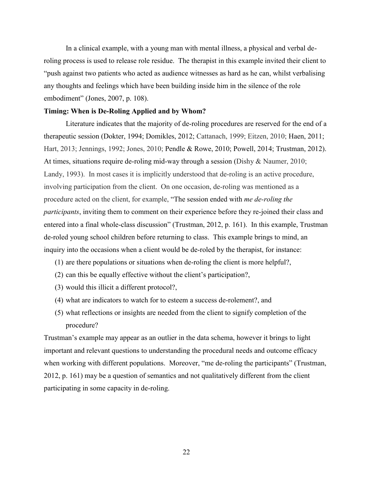In a clinical example, with a young man with mental illness, a physical and verbal deroling process is used to release role residue. The therapist in this example invited their client to "push against two patients who acted as audience witnesses as hard as he can, whilst verbalising any thoughts and feelings which have been building inside him in the silence of the role embodiment" (Jones, 2007, p. 108).

## **Timing: When is De-Roling Applied and by Whom?**

Literature indicates that the majority of de-roling procedures are reserved for the end of a therapeutic session (Dokter, 1994; Domikles, 2012; Cattanach, 1999; Eitzen, 2010; Haen, 2011; Hart, 2013; Jennings, 1992; Jones, 2010; Pendle & Rowe, 2010; Powell, 2014; Trustman, 2012). At times, situations require de-roling mid-way through a session (Dishy & Naumer, 2010; Landy, 1993). In most cases it is implicitly understood that de-roling is an active procedure, involving participation from the client. On one occasion, de-roling was mentioned as a procedure acted on the client, for example, "The session ended with *me de-roling the participants*, inviting them to comment on their experience before they re-joined their class and entered into a final whole-class discussion" (Trustman, 2012, p. 161). In this example, Trustman de-roled young school children before returning to class. This example brings to mind, an inquiry into the occasions when a client would be de-roled by the therapist, for instance:

- (1) are there populations or situations when de-roling the client is more helpful?,
- (2) can this be equally effective without the client's participation?,
- (3) would this illicit a different protocol?,
- (4) what are indicators to watch for to esteem a success de-rolement?, and
- (5) what reflections or insights are needed from the client to signify completion of the procedure?

Trustman's example may appear as an outlier in the data schema, however it brings to light important and relevant questions to understanding the procedural needs and outcome efficacy when working with different populations. Moreover, "me de-roling the participants" (Trustman, 2012, p. 161) may be a question of semantics and not qualitatively different from the client participating in some capacity in de-roling.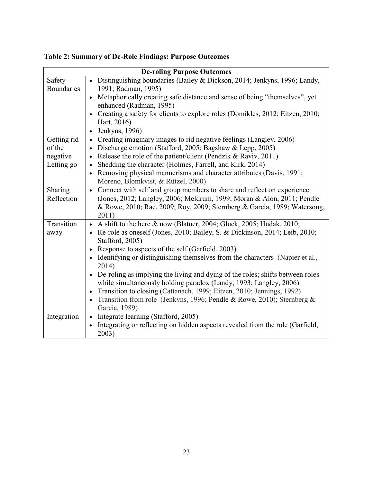| <b>De-roling Purpose Outcomes</b> |                                                                                                                                                                 |  |
|-----------------------------------|-----------------------------------------------------------------------------------------------------------------------------------------------------------------|--|
| Safety                            | • Distinguishing boundaries (Bailey & Dickson, 2014; Jenkyns, 1996; Landy,                                                                                      |  |
| <b>Boundaries</b>                 | 1991; Radman, 1995)                                                                                                                                             |  |
|                                   | Metaphorically creating safe distance and sense of being "themselves", yet                                                                                      |  |
|                                   | enhanced (Radman, 1995)                                                                                                                                         |  |
|                                   | Creating a safety for clients to explore roles (Domikles, 2012; Eitzen, 2010;<br>$\bullet$                                                                      |  |
|                                   | Hart, 2016)                                                                                                                                                     |  |
|                                   | Jenkyns, 1996)<br>$\bullet$                                                                                                                                     |  |
| Getting rid                       | Creating imaginary images to rid negative feelings (Langley, 2006)<br>$\bullet$                                                                                 |  |
| of the                            | Discharge emotion (Stafford, 2005; Bagshaw & Lepp, 2005)<br>$\bullet$                                                                                           |  |
| negative                          | Release the role of the patient/client (Pendzik & Raviv, 2011)<br>$\bullet$                                                                                     |  |
| Letting go                        | Shedding the character (Holmes, Farrell, and Kirk, 2014)                                                                                                        |  |
|                                   | Removing physical mannerisms and character attributes (Davis, 1991;<br>$\bullet$                                                                                |  |
|                                   | Moreno, Blomkvist, & Rützel, 2000)                                                                                                                              |  |
| Sharing                           | Connect with self and group members to share and reflect on experience<br>$\bullet$                                                                             |  |
| Reflection                        | (Jones, 2012; Langley, 2006; Meldrum, 1999; Moran & Alon, 2011; Pendle                                                                                          |  |
|                                   | & Rowe, 2010; Rae, 2009; Roy, 2009; Sternberg & Garcia, 1989; Watersong,                                                                                        |  |
|                                   | 2011)                                                                                                                                                           |  |
| Transition                        | A shift to the here & now (Blatner, 2004; Gluck, 2005; Hudak, 2010;<br>$\bullet$                                                                                |  |
| away                              | Re-role as oneself (Jones, 2010; Bailey, S. & Dickinson, 2014; Leib, 2010;                                                                                      |  |
|                                   | Stafford, 2005)                                                                                                                                                 |  |
|                                   | Response to aspects of the self (Garfield, 2003)<br>$\bullet$                                                                                                   |  |
|                                   | Identifying or distinguishing themselves from the characters (Napier et al.,<br>2014)                                                                           |  |
|                                   |                                                                                                                                                                 |  |
|                                   | De-roling as implying the living and dying of the roles; shifts between roles<br>$\bullet$<br>while simultaneously holding paradox (Landy, 1993; Langley, 2006) |  |
|                                   | Transition to closing (Cattanach, 1999; Eitzen, 2010; Jennings, 1992)                                                                                           |  |
|                                   | $\bullet$<br>Transition from role (Jenkyns, 1996; Pendle & Rowe, 2010); Sternberg &                                                                             |  |
|                                   | Garcia, 1989)                                                                                                                                                   |  |
| Integration                       | Integrate learning (Stafford, 2005)<br>$\bullet$                                                                                                                |  |
|                                   | Integrating or reflecting on hidden aspects revealed from the role (Garfield,                                                                                   |  |
|                                   | 2003)                                                                                                                                                           |  |
|                                   |                                                                                                                                                                 |  |

**Table 2: Summary of De-Role Findings: Purpose Outcomes**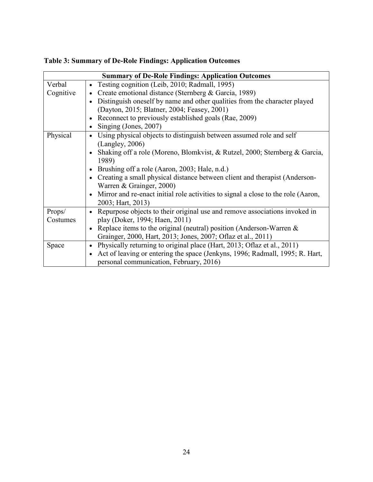| <b>Summary of De-Role Findings: Application Outcomes</b> |                                                                                                |  |
|----------------------------------------------------------|------------------------------------------------------------------------------------------------|--|
| Verbal                                                   | Testing cognition (Leib, 2010; Radmall, 1995)<br>$\bullet$                                     |  |
| Cognitive                                                | Create emotional distance (Sternberg & Garcia, 1989)<br>$\bullet$                              |  |
|                                                          | Distinguish oneself by name and other qualities from the character played<br>$\bullet$         |  |
|                                                          | (Dayton, 2015; Blatner, 2004; Feasey, 2001)                                                    |  |
|                                                          | Reconnect to previously established goals (Rae, 2009)<br>$\bullet$                             |  |
|                                                          | Singing (Jones, 2007)<br>$\bullet$                                                             |  |
| Physical                                                 | Using physical objects to distinguish between assumed role and self<br>$\bullet$               |  |
|                                                          | (Langle, 2006)                                                                                 |  |
|                                                          | Shaking off a role (Moreno, Blomkvist, & Rutzel, 2000; Sternberg & Garcia,<br>$\bullet$        |  |
|                                                          | 1989)                                                                                          |  |
|                                                          | Brushing off a role (Aaron, 2003; Hale, n.d.)<br>$\bullet$                                     |  |
|                                                          | Creating a small physical distance between client and therapist (Anderson-<br>$\bullet$        |  |
|                                                          | Warren & Grainger, 2000)                                                                       |  |
|                                                          | Mirror and re-enact initial role activities to signal a close to the role (Aaron,<br>$\bullet$ |  |
|                                                          | 2003; Hart, 2013)                                                                              |  |
| Props/                                                   | Repurpose objects to their original use and remove associations invoked in<br>$\bullet$        |  |
| Costumes                                                 | play (Doker, 1994; Haen, 2011)                                                                 |  |
|                                                          | Replace items to the original (neutral) position (Anderson-Warren $\&$<br>$\bullet$            |  |
|                                                          | Grainger, 2000, Hart, 2013; Jones, 2007; Oflaz et al., 2011)                                   |  |
| Space                                                    | Physically returning to original place (Hart, 2013; Oflaz et al., 2011)<br>$\bullet$           |  |
|                                                          | Act of leaving or entering the space (Jenkyns, 1996; Radmall, 1995; R. Hart,<br>$\bullet$      |  |
|                                                          | personal communication, February, 2016)                                                        |  |

**Table 3: Summary of De-Role Findings: Application Outcomes**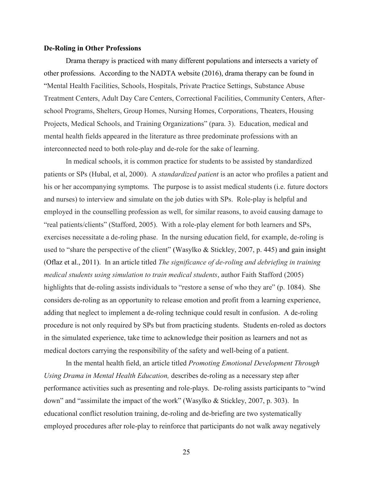#### **De-Roling in Other Professions**

Drama therapy is practiced with many different populations and intersects a variety of other professions. According to the NADTA website (2016), drama therapy can be found in "Mental Health Facilities, Schools, Hospitals, Private Practice Settings, Substance Abuse Treatment Centers, Adult Day Care Centers, Correctional Facilities, Community Centers, Afterschool Programs, Shelters, Group Homes, Nursing Homes, Corporations, Theaters, Housing Projects, Medical Schools, and Training Organizations" (para. 3). Education, medical and mental health fields appeared in the literature as three predominate professions with an interconnected need to both role-play and de-role for the sake of learning.

In medical schools, it is common practice for students to be assisted by standardized patients or SPs (Hubal, et al, 2000). A *standardized patient* is an actor who profiles a patient and his or her accompanying symptoms. The purpose is to assist medical students (i.e. future doctors and nurses) to interview and simulate on the job duties with SPs. Role-play is helpful and employed in the counselling profession as well, for similar reasons, to avoid causing damage to "real patients/clients" (Stafford, 2005). With a role-play element for both learners and SPs, exercises necessitate a de-roling phase. In the nursing education field, for example, de-roling is used to "share the perspective of the client" (Wasylko & Stickley, 2007, p. 445) and gain insight (Oflaz et al., 2011). In an article titled *The significance of de-roling and debriefing in training medical students using simulation to train medical students*, author Faith Stafford (2005) highlights that de-roling assists individuals to "restore a sense of who they are" (p. 1084). She considers de-roling as an opportunity to release emotion and profit from a learning experience, adding that neglect to implement a de-roling technique could result in confusion. A de-roling procedure is not only required by SPs but from practicing students. Students en-roled as doctors in the simulated experience, take time to acknowledge their position as learners and not as medical doctors carrying the responsibility of the safety and well-being of a patient.

In the mental health field, an article titled *Promoting Emotional Development Through Using Drama in Mental Health Education,* describes de-roling as a necessary step after performance activities such as presenting and role-plays. De-roling assists participants to "wind down" and "assimilate the impact of the work" (Wasylko & Stickley, 2007, p. 303). In educational conflict resolution training, de-roling and de-briefing are two systematically employed procedures after role-play to reinforce that participants do not walk away negatively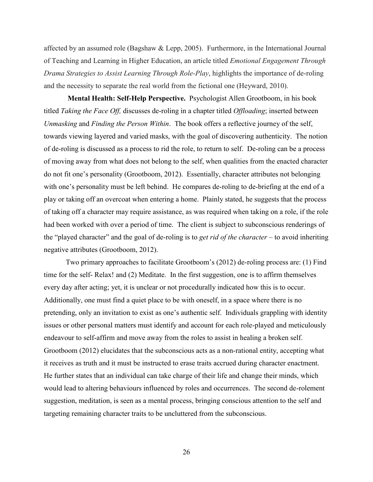affected by an assumed role (Bagshaw & Lepp, 2005). Furthermore, in the International Journal of Teaching and Learning in Higher Education, an article titled *Emotional Engagement Through Drama Strategies to Assist Learning Through Role-Play*, highlights the importance of de-roling and the necessity to separate the real world from the fictional one (Heyward, 2010).

**Mental Health: Self-Help Perspective.** Psychologist Allen Grootboom, in his book titled *Taking the Face Off,* discusses de-roling in a chapter titled *Offloading*; inserted between *Unmasking* and *Finding the Person Within*. The book offers a reflective journey of the self, towards viewing layered and varied masks, with the goal of discovering authenticity. The notion of de-roling is discussed as a process to rid the role, to return to self. De-roling can be a process of moving away from what does not belong to the self, when qualities from the enacted character do not fit one's personality (Grootboom, 2012). Essentially, character attributes not belonging with one's personality must be left behind. He compares de-roling to de-briefing at the end of a play or taking off an overcoat when entering a home. Plainly stated, he suggests that the process of taking off a character may require assistance, as was required when taking on a role, if the role had been worked with over a period of time. The client is subject to subconscious renderings of the "played character" and the goal of de-roling is to *get rid of the character* – to avoid inheriting negative attributes (Grootboom, 2012).

Two primary approaches to facilitate Grootboom's (2012) de-roling process are: (1) Find time for the self- Relax! and (2) Meditate. In the first suggestion, one is to affirm themselves every day after acting; yet, it is unclear or not procedurally indicated how this is to occur. Additionally, one must find a quiet place to be with oneself, in a space where there is no pretending, only an invitation to exist as one's authentic self. Individuals grappling with identity issues or other personal matters must identify and account for each role-played and meticulously endeavour to self-affirm and move away from the roles to assist in healing a broken self. Grootboom (2012) elucidates that the subconscious acts as a non-rational entity, accepting what it receives as truth and it must be instructed to erase traits accrued during character enactment. He further states that an individual can take charge of their life and change their minds, which would lead to altering behaviours influenced by roles and occurrences. The second de-rolement suggestion, meditation, is seen as a mental process, bringing conscious attention to the self and targeting remaining character traits to be uncluttered from the subconscious.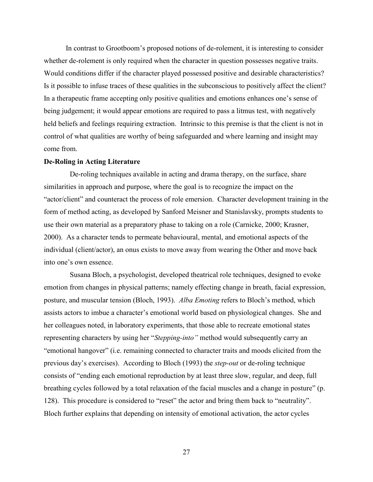In contrast to Grootboom's proposed notions of de-rolement, it is interesting to consider whether de-rolement is only required when the character in question possesses negative traits. Would conditions differ if the character played possessed positive and desirable characteristics? Is it possible to infuse traces of these qualities in the subconscious to positively affect the client? In a therapeutic frame accepting only positive qualities and emotions enhances one's sense of being judgement; it would appear emotions are required to pass a litmus test, with negatively held beliefs and feelings requiring extraction. Intrinsic to this premise is that the client is not in control of what qualities are worthy of being safeguarded and where learning and insight may come from.

#### **De-Roling in Acting Literature**

De-roling techniques available in acting and drama therapy, on the surface, share similarities in approach and purpose, where the goal is to recognize the impact on the "actor/client" and counteract the process of role emersion. Character development training in the form of method acting, as developed by Sanford Meisner and Stanislavsky, prompts students to use their own material as a preparatory phase to taking on a role (Carnicke, 2000; Krasner, 2000). As a character tends to permeate behavioural, mental, and emotional aspects of the individual (client/actor), an onus exists to move away from wearing the Other and move back into one's own essence.

Susana Bloch, a psychologist, developed theatrical role techniques, designed to evoke emotion from changes in physical patterns; namely effecting change in breath, facial expression, posture, and muscular tension (Bloch, 1993). *Alba Emoting* refers to Bloch's method, which assists actors to imbue a character's emotional world based on physiological changes. She and her colleagues noted, in laboratory experiments, that those able to recreate emotional states representing characters by using her "*Stepping-into"* method would subsequently carry an "emotional hangover" (i.e. remaining connected to character traits and moods elicited from the previous day's exercises). According to Bloch (1993) the *step-out* or de-roling technique consists of "ending each emotional reproduction by at least three slow, regular, and deep, full breathing cycles followed by a total relaxation of the facial muscles and a change in posture" (p. 128). This procedure is considered to "reset" the actor and bring them back to "neutrality". Bloch further explains that depending on intensity of emotional activation, the actor cycles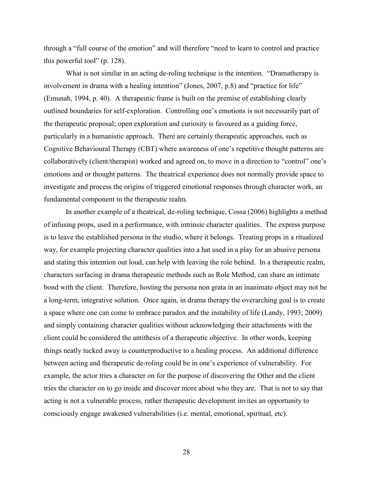through a "full course of the emotion" and will therefore "need to learn to control and practice this powerful tool" (p. 128).

What is not similar in an acting de-roling technique is the intention. "Dramatherapy is involvement in drama with a healing intention" (Jones, 2007, p.8) and "practice for life" (Emunah, 1994, p. 40). A therapeutic frame is built on the premise of establishing clearly outlined boundaries for self-exploration. Controlling one's emotions is not necessarily part of the therapeutic proposal; open exploration and curiosity is favoured as a guiding force, particularly in a humanistic approach. There are certainly therapeutic approaches, such as Cognitive Behavioural Therapy (CBT) where awareness of one's repetitive thought patterns are collaboratively (client/therapist) worked and agreed on, to move in a direction to "control" one's emotions and or thought patterns. The theatrical experience does not normally provide space to investigate and process the origins of triggered emotional responses through character work, an fundamental component in the therapeutic realm.

In another example of a theatrical, de-roling technique, Cossa (2006) highlights a method of infusing props, used in a performance, with intrinsic character qualities. The express purpose is to leave the established persona in the studio, where it belongs. Treating props in a ritualized way, for example projecting character qualities into a hat used in a play for an abusive persona and stating this intention out loud, can help with leaving the role behind. In a therapeutic realm, characters surfacing in drama therapeutic methods such as Role Method, can share an intimate bond with the client. Therefore, hosting the persona non grata in an inanimate object may not be a long-term, integrative solution. Once again, in drama therapy the overarching goal is to create a space where one can come to embrace paradox and the instability of life (Landy, 1993; 2009) and simply containing character qualities without acknowledging their attachments with the client could be considered the antithesis of a therapeutic objective. In other words, keeping things neatly tucked away is counterproductive to a healing process. An additional difference between acting and therapeutic de-roling could be in one's experience of vulnerability. For example, the actor tries a character on for the purpose of discovering the Other and the client tries the character on to go inside and discover more about who they are. That is not to say that acting is not a vulnerable process, rather therapeutic development invites an opportunity to consciously engage awakened vulnerabilities (i.e. mental, emotional, spiritual, etc).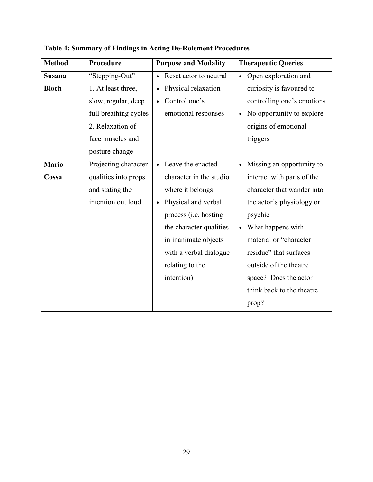| <b>Method</b> | Procedure             | <b>Purpose and Modality</b> | <b>Therapeutic Queries</b>             |
|---------------|-----------------------|-----------------------------|----------------------------------------|
| <b>Susana</b> | "Stepping-Out"        | • Reset actor to neutral    | Open exploration and<br>$\bullet$      |
| <b>Bloch</b>  | 1. At least three,    | Physical relaxation         | curiosity is favoured to               |
|               | slow, regular, deep   | Control one's               | controlling one's emotions             |
|               | full breathing cycles | emotional responses         | No opportunity to explore              |
|               | 2. Relaxation of      |                             | origins of emotional                   |
|               | face muscles and      |                             | triggers                               |
|               | posture change        |                             |                                        |
| <b>Mario</b>  | Projecting character  | • Leave the enacted         | Missing an opportunity to<br>$\bullet$ |
| Cossa         | qualities into props  | character in the studio     | interact with parts of the             |
|               | and stating the       | where it belongs            | character that wander into             |
|               | intention out loud    | Physical and verbal         | the actor's physiology or              |
|               |                       | process (i.e. hosting       | psychic                                |
|               |                       | the character qualities     | What happens with                      |
|               |                       | in inanimate objects        | material or "character"                |
|               |                       | with a verbal dialogue      | residue" that surfaces                 |
|               |                       | relating to the             | outside of the theatre                 |
|               |                       | intention)                  | space? Does the actor                  |
|               |                       |                             | think back to the theatre              |
|               |                       |                             | prop?                                  |

**Table 4: Summary of Findings in Acting De-Rolement Procedures**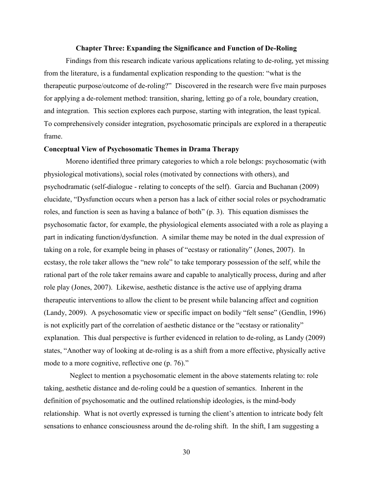### **Chapter Three: Expanding the Significance and Function of De-Roling**

Findings from this research indicate various applications relating to de-roling, yet missing from the literature, is a fundamental explication responding to the question: "what is the therapeutic purpose/outcome of de-roling?" Discovered in the research were five main purposes for applying a de-rolement method: transition, sharing, letting go of a role, boundary creation, and integration. This section explores each purpose, starting with integration, the least typical. To comprehensively consider integration, psychosomatic principals are explored in a therapeutic frame.

## **Conceptual View of Psychosomatic Themes in Drama Therapy**

Moreno identified three primary categories to which a role belongs: psychosomatic (with physiological motivations), social roles (motivated by connections with others), and psychodramatic (self-dialogue - relating to concepts of the self). Garcia and Buchanan (2009) elucidate, "Dysfunction occurs when a person has a lack of either social roles or psychodramatic roles, and function is seen as having a balance of both" (p. 3). This equation dismisses the psychosomatic factor, for example, the physiological elements associated with a role as playing a part in indicating function/dysfunction. A similar theme may be noted in the dual expression of taking on a role, for example being in phases of "ecstasy or rationality" (Jones, 2007). In ecstasy, the role taker allows the "new role" to take temporary possession of the self, while the rational part of the role taker remains aware and capable to analytically process, during and after role play (Jones, 2007). Likewise, aesthetic distance is the active use of applying drama therapeutic interventions to allow the client to be present while balancing affect and cognition (Landy, 2009). A psychosomatic view or specific impact on bodily "felt sense" (Gendlin, 1996) is not explicitly part of the correlation of aesthetic distance or the "ecstasy or rationality" explanation. This dual perspective is further evidenced in relation to de-roling, as Landy (2009) states, "Another way of looking at de-roling is as a shift from a more effective, physically active mode to a more cognitive, reflective one (p. 76)."

Neglect to mention a psychosomatic element in the above statements relating to: role taking, aesthetic distance and de-roling could be a question of semantics. Inherent in the definition of psychosomatic and the outlined relationship ideologies, is the mind-body relationship. What is not overtly expressed is turning the client's attention to intricate body felt sensations to enhance consciousness around the de-roling shift. In the shift, I am suggesting a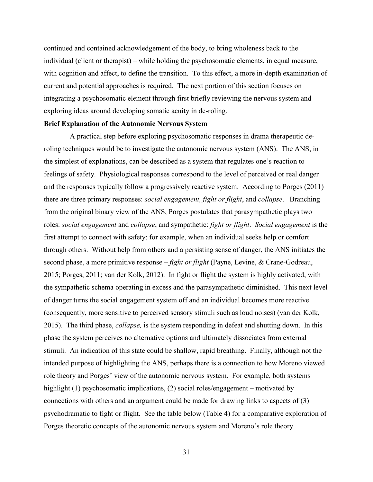continued and contained acknowledgement of the body, to bring wholeness back to the individual (client or therapist) – while holding the psychosomatic elements, in equal measure, with cognition and affect, to define the transition. To this effect, a more in-depth examination of current and potential approaches is required. The next portion of this section focuses on integrating a psychosomatic element through first briefly reviewing the nervous system and exploring ideas around developing somatic acuity in de-roling.

#### **Brief Explanation of the Autonomic Nervous System**

A practical step before exploring psychosomatic responses in drama therapeutic deroling techniques would be to investigate the autonomic nervous system (ANS). The ANS, in the simplest of explanations, can be described as a system that regulates one's reaction to feelings of safety. Physiological responses correspond to the level of perceived or real danger and the responses typically follow a progressively reactive system. According to Porges (2011) there are three primary responses: *social engagement, fight or flight*, and *collapse*. Branching from the original binary view of the ANS, Porges postulates that parasympathetic plays two roles: *social engagement* and *collapse*, and sympathetic: *fight or flight*. *Social engagement* is the first attempt to connect with safety; for example, when an individual seeks help or comfort through others. Without help from others and a persisting sense of danger, the ANS initiates the second phase, a more primitive response – *fight or flight* (Payne, Levine, & Crane-Godreau, 2015; Porges, 2011; van der Kolk, 2012). In fight or flight the system is highly activated, with the sympathetic schema operating in excess and the parasympathetic diminished. This next level of danger turns the social engagement system off and an individual becomes more reactive (consequently, more sensitive to perceived sensory stimuli such as loud noises) (van der Kolk, 2015). The third phase, *collapse,* is the system responding in defeat and shutting down. In this phase the system perceives no alternative options and ultimately dissociates from external stimuli. An indication of this state could be shallow, rapid breathing. Finally, although not the intended purpose of highlighting the ANS, perhaps there is a connection to how Moreno viewed role theory and Porges' view of the autonomic nervous system. For example, both systems highlight (1) psychosomatic implications, (2) social roles/engagement – motivated by connections with others and an argument could be made for drawing links to aspects of (3) psychodramatic to fight or flight. See the table below (Table 4) for a comparative exploration of Porges theoretic concepts of the autonomic nervous system and Moreno's role theory.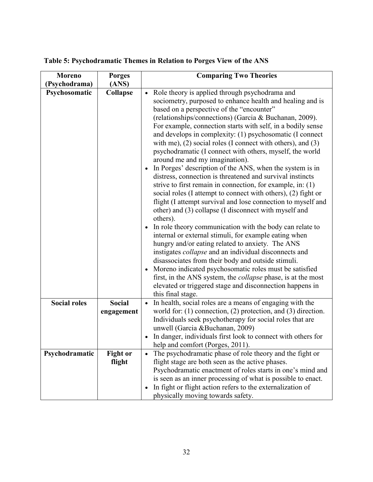| <b>Moreno</b>       | <b>Porges</b>             | <b>Comparing Two Theories</b>                                                                                                                                                                                                                                                                                                                                                                                                                                                                                                                                                                                                                                                                                                                                                                                                                                                                                                                                                                                                                                                                                                                                                                                                                                                                                                                                                                                                                            |
|---------------------|---------------------------|----------------------------------------------------------------------------------------------------------------------------------------------------------------------------------------------------------------------------------------------------------------------------------------------------------------------------------------------------------------------------------------------------------------------------------------------------------------------------------------------------------------------------------------------------------------------------------------------------------------------------------------------------------------------------------------------------------------------------------------------------------------------------------------------------------------------------------------------------------------------------------------------------------------------------------------------------------------------------------------------------------------------------------------------------------------------------------------------------------------------------------------------------------------------------------------------------------------------------------------------------------------------------------------------------------------------------------------------------------------------------------------------------------------------------------------------------------|
| (Psychodrama)       | (ANS)                     |                                                                                                                                                                                                                                                                                                                                                                                                                                                                                                                                                                                                                                                                                                                                                                                                                                                                                                                                                                                                                                                                                                                                                                                                                                                                                                                                                                                                                                                          |
| Psychosomatic       | Collapse                  | Role theory is applied through psychodrama and<br>$\bullet$<br>sociometry, purposed to enhance health and healing and is<br>based on a perspective of the "encounter"<br>(relationships/connections) (Garcia & Buchanan, 2009).<br>For example, connection starts with self, in a bodily sense<br>and develops in complexity: (1) psychosomatic (I connect<br>with me), $(2)$ social roles (I connect with others), and $(3)$<br>psychodramatic (I connect with others, myself, the world<br>around me and my imagination).<br>In Porges' description of the ANS, when the system is in<br>distress, connection is threatened and survival instincts<br>strive to first remain in connection, for example, in: $(1)$<br>social roles (I attempt to connect with others), (2) fight or<br>flight (I attempt survival and lose connection to myself and<br>other) and (3) collapse (I disconnect with myself and<br>others).<br>In role theory communication with the body can relate to<br>internal or external stimuli, for example eating when<br>hungry and/or eating related to anxiety. The ANS<br>instigates <i>collapse</i> and an individual disconnects and<br>disassociates from their body and outside stimuli.<br>Moreno indicated psychosomatic roles must be satisfied<br>$\bullet$<br>first, in the ANS system, the <i>collapse</i> phase, is at the most<br>elevated or triggered stage and disconnection happens in<br>this final stage. |
| <b>Social roles</b> | <b>Social</b>             | In health, social roles are a means of engaging with the<br>$\bullet$                                                                                                                                                                                                                                                                                                                                                                                                                                                                                                                                                                                                                                                                                                                                                                                                                                                                                                                                                                                                                                                                                                                                                                                                                                                                                                                                                                                    |
|                     | engagement                | world for: $(1)$ connection, $(2)$ protection, and $(3)$ direction.                                                                                                                                                                                                                                                                                                                                                                                                                                                                                                                                                                                                                                                                                                                                                                                                                                                                                                                                                                                                                                                                                                                                                                                                                                                                                                                                                                                      |
|                     |                           | Individuals seek psychotherapy for social roles that are<br>unwell (Garcia &Buchanan, 2009)<br>In danger, individuals first look to connect with others for<br>help and comfort (Porges, 2011).                                                                                                                                                                                                                                                                                                                                                                                                                                                                                                                                                                                                                                                                                                                                                                                                                                                                                                                                                                                                                                                                                                                                                                                                                                                          |
| Psychodramatic      | <b>Fight or</b><br>flight | The psychodramatic phase of role theory and the fight or<br>$\bullet$<br>flight stage are both seen as the active phases.                                                                                                                                                                                                                                                                                                                                                                                                                                                                                                                                                                                                                                                                                                                                                                                                                                                                                                                                                                                                                                                                                                                                                                                                                                                                                                                                |
|                     |                           | Psychodramatic enactment of roles starts in one's mind and                                                                                                                                                                                                                                                                                                                                                                                                                                                                                                                                                                                                                                                                                                                                                                                                                                                                                                                                                                                                                                                                                                                                                                                                                                                                                                                                                                                               |
|                     |                           | is seen as an inner processing of what is possible to enact.                                                                                                                                                                                                                                                                                                                                                                                                                                                                                                                                                                                                                                                                                                                                                                                                                                                                                                                                                                                                                                                                                                                                                                                                                                                                                                                                                                                             |
|                     |                           | In fight or flight action refers to the externalization of                                                                                                                                                                                                                                                                                                                                                                                                                                                                                                                                                                                                                                                                                                                                                                                                                                                                                                                                                                                                                                                                                                                                                                                                                                                                                                                                                                                               |
|                     |                           | physically moving towards safety.                                                                                                                                                                                                                                                                                                                                                                                                                                                                                                                                                                                                                                                                                                                                                                                                                                                                                                                                                                                                                                                                                                                                                                                                                                                                                                                                                                                                                        |

# **Table 5: Psychodramatic Themes in Relation to Porges View of the ANS**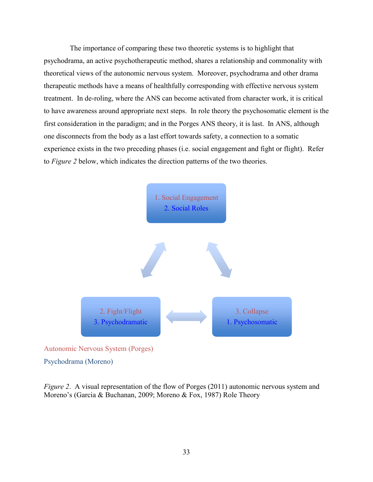The importance of comparing these two theoretic systems is to highlight that psychodrama, an active psychotherapeutic method, shares a relationship and commonality with theoretical views of the autonomic nervous system. Moreover, psychodrama and other drama therapeutic methods have a means of healthfully corresponding with effective nervous system treatment. In de-roling, where the ANS can become activated from character work, it is critical to have awareness around appropriate next steps. In role theory the psychosomatic element is the first consideration in the paradigm; and in the Porges ANS theory, it is last. In ANS, although one disconnects from the body as a last effort towards safety, a connection to a somatic experience exists in the two preceding phases (i.e. social engagement and fight or flight). Refer to *Figure 2* below, which indicates the direction patterns of the two theories.



Psychodrama (Moreno)

*Figure 2.* A visual representation of the flow of Porges (2011) autonomic nervous system and Moreno's (Garcia & Buchanan, 2009; Moreno & Fox, 1987) Role Theory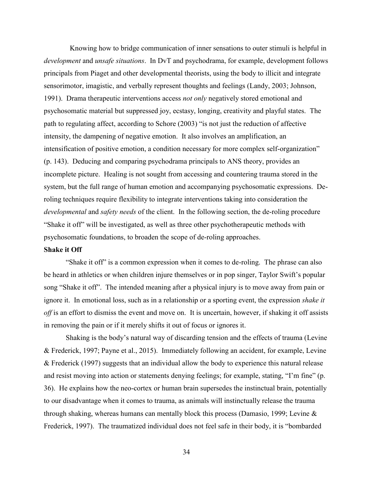Knowing how to bridge communication of inner sensations to outer stimuli is helpful in *development* and *unsafe situations*. In DvT and psychodrama, for example, development follows principals from Piaget and other developmental theorists, using the body to illicit and integrate sensorimotor, imagistic, and verbally represent thoughts and feelings (Landy, 2003; Johnson, 1991). Drama therapeutic interventions access *not only* negatively stored emotional and psychosomatic material but suppressed joy, ecstasy, longing, creativity and playful states. The path to regulating affect, according to Schore (2003) "is not just the reduction of affective intensity, the dampening of negative emotion. It also involves an amplification, an intensification of positive emotion, a condition necessary for more complex self-organization" (p. 143). Deducing and comparing psychodrama principals to ANS theory, provides an incomplete picture. Healing is not sought from accessing and countering trauma stored in the system, but the full range of human emotion and accompanying psychosomatic expressions. Deroling techniques require flexibility to integrate interventions taking into consideration the *developmental* and *safety needs* of the client. In the following section, the de-roling procedure "Shake it off" will be investigated, as well as three other psychotherapeutic methods with psychosomatic foundations, to broaden the scope of de-roling approaches.

# **Shake it Off**

"Shake it off" is a common expression when it comes to de-roling. The phrase can also be heard in athletics or when children injure themselves or in pop singer, Taylor Swift's popular song "Shake it off". The intended meaning after a physical injury is to move away from pain or ignore it. In emotional loss, such as in a relationship or a sporting event, the expression *shake it off* is an effort to dismiss the event and move on. It is uncertain, however, if shaking it off assists in removing the pain or if it merely shifts it out of focus or ignores it.

Shaking is the body's natural way of discarding tension and the effects of trauma (Levine & Frederick, 1997; Payne et al., 2015). Immediately following an accident, for example, Levine & Frederick (1997) suggests that an individual allow the body to experience this natural release and resist moving into action or statements denying feelings; for example, stating, "I'm fine" (p. 36). He explains how the neo-cortex or human brain supersedes the instinctual brain, potentially to our disadvantage when it comes to trauma, as animals will instinctually release the trauma through shaking, whereas humans can mentally block this process (Damasio, 1999; Levine & Frederick, 1997). The traumatized individual does not feel safe in their body, it is "bombarded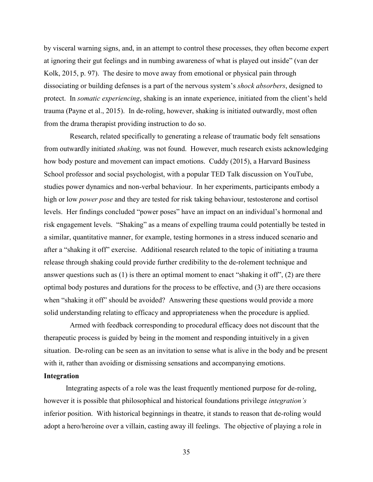by visceral warning signs, and, in an attempt to control these processes, they often become expert at ignoring their gut feelings and in numbing awareness of what is played out inside" (van der Kolk, 2015, p. 97). The desire to move away from emotional or physical pain through dissociating or building defenses is a part of the nervous system's *shock absorbers*, designed to protect. In *somatic experiencing*, shaking is an innate experience, initiated from the client's held trauma (Payne et al., 2015). In de-roling, however, shaking is initiated outwardly, most often from the drama therapist providing instruction to do so.

Research, related specifically to generating a release of traumatic body felt sensations from outwardly initiated *shaking,* was not found. However, much research exists acknowledging how body posture and movement can impact emotions. Cuddy (2015), a Harvard Business School professor and social psychologist, with a popular TED Talk discussion on YouTube, studies power dynamics and non-verbal behaviour. In her experiments, participants embody a high or low *power pose* and they are tested for risk taking behaviour, testosterone and cortisol levels. Her findings concluded "power poses" have an impact on an individual's hormonal and risk engagement levels. "Shaking" as a means of expelling trauma could potentially be tested in a similar, quantitative manner, for example, testing hormones in a stress induced scenario and after a "shaking it off" exercise. Additional research related to the topic of initiating a trauma release through shaking could provide further credibility to the de-rolement technique and answer questions such as (1) is there an optimal moment to enact "shaking it off", (2) are there optimal body postures and durations for the process to be effective, and (3) are there occasions when "shaking it off" should be avoided? Answering these questions would provide a more solid understanding relating to efficacy and appropriateness when the procedure is applied.

Armed with feedback corresponding to procedural efficacy does not discount that the therapeutic process is guided by being in the moment and responding intuitively in a given situation. De-roling can be seen as an invitation to sense what is alive in the body and be present with it, rather than avoiding or dismissing sensations and accompanying emotions.

## **Integration**

Integrating aspects of a role was the least frequently mentioned purpose for de-roling, however it is possible that philosophical and historical foundations privilege *integration's* inferior position. With historical beginnings in theatre, it stands to reason that de-roling would adopt a hero/heroine over a villain, casting away ill feelings. The objective of playing a role in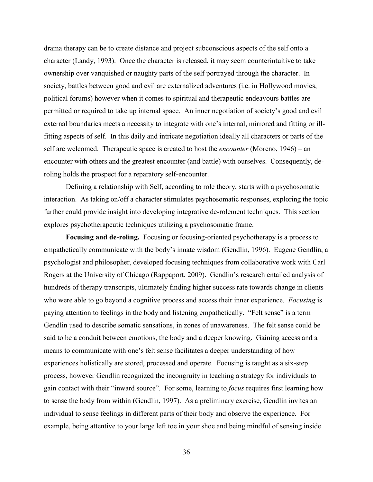drama therapy can be to create distance and project subconscious aspects of the self onto a character (Landy, 1993). Once the character is released, it may seem counterintuitive to take ownership over vanquished or naughty parts of the self portrayed through the character. In society, battles between good and evil are externalized adventures (i.e. in Hollywood movies, political forums) however when it comes to spiritual and therapeutic endeavours battles are permitted or required to take up internal space. An inner negotiation of society's good and evil external boundaries meets a necessity to integrate with one's internal, mirrored and fitting or illfitting aspects of self. In this daily and intricate negotiation ideally all characters or parts of the self are welcomed. Therapeutic space is created to host the *encounter* (Moreno, 1946) – an encounter with others and the greatest encounter (and battle) with ourselves. Consequently, deroling holds the prospect for a reparatory self-encounter.

Defining a relationship with Self, according to role theory, starts with a psychosomatic interaction. As taking on/off a character stimulates psychosomatic responses, exploring the topic further could provide insight into developing integrative de-rolement techniques. This section explores psychotherapeutic techniques utilizing a psychosomatic frame.

**Focusing and de-roling.** Focusing or focusing-oriented psychotherapy is a process to empathetically communicate with the body's innate wisdom (Gendlin, 1996). Eugene Gendlin, a psychologist and philosopher, developed focusing techniques from collaborative work with Carl Rogers at the University of Chicago (Rappaport, 2009). Gendlin's research entailed analysis of hundreds of therapy transcripts, ultimately finding higher success rate towards change in clients who were able to go beyond a cognitive process and access their inner experience. *Focusing* is paying attention to feelings in the body and listening empathetically. "Felt sense" is a term Gendlin used to describe somatic sensations, in zones of unawareness. The felt sense could be said to be a conduit between emotions, the body and a deeper knowing. Gaining access and a means to communicate with one's felt sense facilitates a deeper understanding of how experiences holistically are stored, processed and operate. Focusing is taught as a six-step process, however Gendlin recognized the incongruity in teaching a strategy for individuals to gain contact with their "inward source". For some, learning to *focus* requires first learning how to sense the body from within (Gendlin, 1997). As a preliminary exercise, Gendlin invites an individual to sense feelings in different parts of their body and observe the experience. For example, being attentive to your large left toe in your shoe and being mindful of sensing inside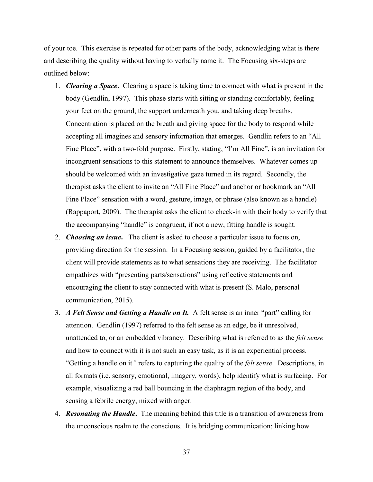of your toe. This exercise is repeated for other parts of the body, acknowledging what is there and describing the quality without having to verbally name it. The Focusing six-steps are outlined below:

- 1. *Clearing a Space***.** Clearing a space is taking time to connect with what is present in the body (Gendlin, 1997). This phase starts with sitting or standing comfortably, feeling your feet on the ground, the support underneath you, and taking deep breaths. Concentration is placed on the breath and giving space for the body to respond while accepting all imagines and sensory information that emerges. Gendlin refers to an "All Fine Place", with a two-fold purpose. Firstly, stating, "I'm All Fine", is an invitation for incongruent sensations to this statement to announce themselves. Whatever comes up should be welcomed with an investigative gaze turned in its regard. Secondly, the therapist asks the client to invite an "All Fine Place" and anchor or bookmark an "All Fine Place" sensation with a word, gesture, image, or phrase (also known as a handle) (Rappaport, 2009). The therapist asks the client to check-in with their body to verify that the accompanying "handle" is congruent, if not a new, fitting handle is sought.
- 2. *Choosing an issue***.** The client is asked to choose a particular issue to focus on, providing direction for the session. In a Focusing session, guided by a facilitator, the client will provide statements as to what sensations they are receiving. The facilitator empathizes with "presenting parts/sensations" using reflective statements and encouraging the client to stay connected with what is present (S. Malo, personal communication, 2015).
- 3. *A Felt Sense and Getting a Handle on It.* A felt sense is an inner "part" calling for attention. Gendlin (1997) referred to the felt sense as an edge, be it unresolved, unattended to, or an embedded vibrancy. Describing what is referred to as the *felt sense* and how to connect with it is not such an easy task, as it is an experiential process. "Getting a handle on it*"* refers to capturing the quality of the *felt sense*. Descriptions, in all formats (i.e. sensory, emotional, imagery, words), help identify what is surfacing. For example, visualizing a red ball bouncing in the diaphragm region of the body, and sensing a febrile energy, mixed with anger.
- 4. *Resonating the Handle***.** The meaning behind this title is a transition of awareness from the unconscious realm to the conscious. It is bridging communication; linking how
	- 37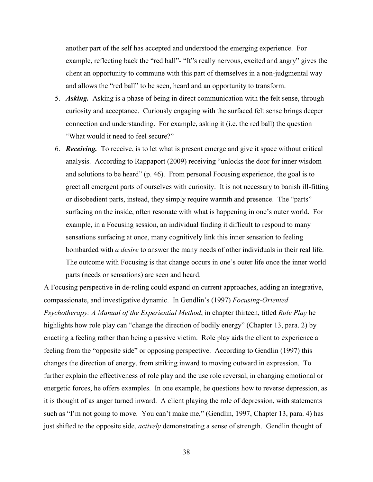another part of the self has accepted and understood the emerging experience. For example, reflecting back the "red ball"- "It"s really nervous, excited and angry" gives the client an opportunity to commune with this part of themselves in a non-judgmental way and allows the "red ball" to be seen, heard and an opportunity to transform.

- 5. *Asking.* Asking is a phase of being in direct communication with the felt sense, through curiosity and acceptance. Curiously engaging with the surfaced felt sense brings deeper connection and understanding. For example, asking it (i.e. the red ball) the question "What would it need to feel secure?"
- 6. *Receiving.* To receive, is to let what is present emerge and give it space without critical analysis. According to Rappaport (2009) receiving "unlocks the door for inner wisdom and solutions to be heard" (p. 46). From personal Focusing experience, the goal is to greet all emergent parts of ourselves with curiosity. It is not necessary to banish ill-fitting or disobedient parts, instead, they simply require warmth and presence. The "parts" surfacing on the inside, often resonate with what is happening in one's outer world. For example, in a Focusing session, an individual finding it difficult to respond to many sensations surfacing at once, many cognitively link this inner sensation to feeling bombarded with *a desire* to answer the many needs of other individuals in their real life. The outcome with Focusing is that change occurs in one's outer life once the inner world parts (needs or sensations) are seen and heard.

A Focusing perspective in de-roling could expand on current approaches, adding an integrative, compassionate, and investigative dynamic. In Gendlin's (1997) *Focusing-Oriented Psychotherapy: A Manual of the Experiential Method*, in chapter thirteen, titled *Role Play* he highlights how role play can "change the direction of bodily energy" (Chapter 13, para. 2) by enacting a feeling rather than being a passive victim. Role play aids the client to experience a feeling from the "opposite side" or opposing perspective. According to Gendlin (1997) this changes the direction of energy, from striking inward to moving outward in expression. To further explain the effectiveness of role play and the use role reversal, in changing emotional or energetic forces, he offers examples. In one example, he questions how to reverse depression, as it is thought of as anger turned inward. A client playing the role of depression, with statements such as "I'm not going to move. You can't make me," (Gendlin, 1997, Chapter 13, para. 4) has just shifted to the opposite side, *actively* demonstrating a sense of strength. Gendlin thought of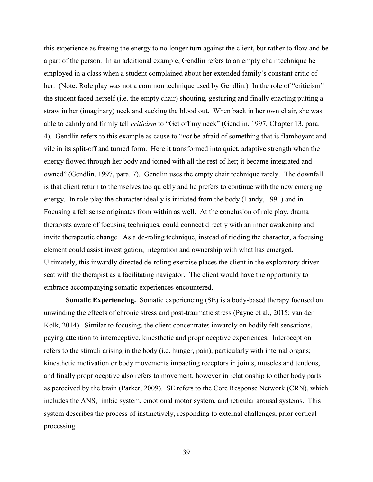this experience as freeing the energy to no longer turn against the client, but rather to flow and be a part of the person. In an additional example, Gendlin refers to an empty chair technique he employed in a class when a student complained about her extended family's constant critic of her. (Note: Role play was not a common technique used by Gendlin.) In the role of "criticism" the student faced herself (i.e. the empty chair) shouting, gesturing and finally enacting putting a straw in her (imaginary) neck and sucking the blood out. When back in her own chair, she was able to calmly and firmly tell *criticism* to "Get off my neck" (Gendlin, 1997, Chapter 13, para. 4). Gendlin refers to this example as cause to "*not* be afraid of something that is flamboyant and vile in its split-off and turned form. Here it transformed into quiet, adaptive strength when the energy flowed through her body and joined with all the rest of her; it became integrated and owned" (Gendlin, 1997, para. 7). Gendlin uses the empty chair technique rarely. The downfall is that client return to themselves too quickly and he prefers to continue with the new emerging energy. In role play the character ideally is initiated from the body (Landy, 1991) and in Focusing a felt sense originates from within as well. At the conclusion of role play, drama therapists aware of focusing techniques, could connect directly with an inner awakening and invite therapeutic change. As a de-roling technique, instead of ridding the character, a focusing element could assist investigation, integration and ownership with what has emerged. Ultimately, this inwardly directed de-roling exercise places the client in the exploratory driver seat with the therapist as a facilitating navigator. The client would have the opportunity to embrace accompanying somatic experiences encountered.

**Somatic Experiencing.** Somatic experiencing (SE) is a body-based therapy focused on unwinding the effects of chronic stress and post-traumatic stress (Payne et al., 2015; van der Kolk, 2014). Similar to focusing, the client concentrates inwardly on bodily felt sensations, paying attention to interoceptive, kinesthetic and proprioceptive experiences. Interoception refers to the stimuli arising in the body (i.e. hunger, pain), particularly with internal organs; kinesthetic motivation or body movements impacting receptors in joints, muscles and tendons, and finally proprioceptive also refers to movement, however in relationship to other body parts as perceived by the brain (Parker, 2009). SE refers to the Core Response Network (CRN), which includes the ANS, limbic system, emotional motor system, and reticular arousal systems. This system describes the process of instinctively, responding to external challenges, prior cortical processing.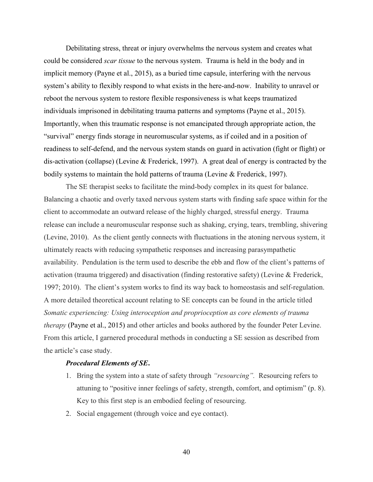Debilitating stress, threat or injury overwhelms the nervous system and creates what could be considered *scar tissue* to the nervous system. Trauma is held in the body and in implicit memory (Payne et al., 2015), as a buried time capsule, interfering with the nervous system's ability to flexibly respond to what exists in the here-and-now. Inability to unravel or reboot the nervous system to restore flexible responsiveness is what keeps traumatized individuals imprisoned in debilitating trauma patterns and symptoms (Payne et al., 2015). Importantly, when this traumatic response is not emancipated through appropriate action, the "survival" energy finds storage in neuromuscular systems, as if coiled and in a position of readiness to self-defend, and the nervous system stands on guard in activation (fight or flight) or dis-activation (collapse) (Levine & Frederick, 1997). A great deal of energy is contracted by the bodily systems to maintain the hold patterns of trauma (Levine & Frederick, 1997).

The SE therapist seeks to facilitate the mind-body complex in its quest for balance. Balancing a chaotic and overly taxed nervous system starts with finding safe space within for the client to accommodate an outward release of the highly charged, stressful energy. Trauma release can include a neuromuscular response such as shaking, crying, tears, trembling, shivering (Levine, 2010). As the client gently connects with fluctuations in the atoning nervous system, it ultimately reacts with reducing sympathetic responses and increasing parasympathetic availability. Pendulation is the term used to describe the ebb and flow of the client's patterns of activation (trauma triggered) and disactivation (finding restorative safety) (Levine & Frederick, 1997; 2010). The client's system works to find its way back to homeostasis and self-regulation. A more detailed theoretical account relating to SE concepts can be found in the article titled *Somatic experiencing: Using interoception and proprioception as core elements of trauma therapy* (Payne et al., 2015) and other articles and books authored by the founder Peter Levine. From this article, I garnered procedural methods in conducting a SE session as described from the article's case study.

## *Procedural Elements of SE***.**

- 1. Bring the system into a state of safety through *"resourcing".* Resourcing refers to attuning to "positive inner feelings of safety, strength, comfort, and optimism" (p. 8). Key to this first step is an embodied feeling of resourcing.
- 2. Social engagement (through voice and eye contact).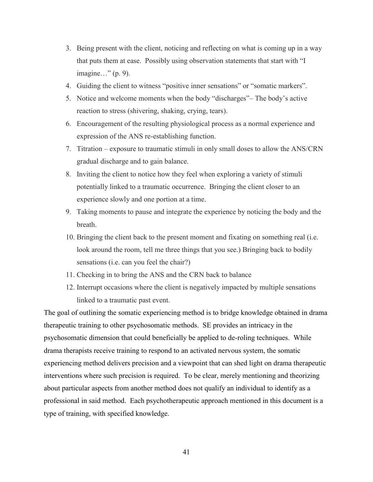- 3. Being present with the client, noticing and reflecting on what is coming up in a way that puts them at ease. Possibly using observation statements that start with "I imagine…" (p. 9).
- 4. Guiding the client to witness "positive inner sensations" or "somatic markers".
- 5. Notice and welcome moments when the body "discharges"– The body's active reaction to stress (shivering, shaking, crying, tears).
- 6. Encouragement of the resulting physiological process as a normal experience and expression of the ANS re-establishing function.
- 7. Titration exposure to traumatic stimuli in only small doses to allow the ANS/CRN gradual discharge and to gain balance.
- 8. Inviting the client to notice how they feel when exploring a variety of stimuli potentially linked to a traumatic occurrence. Bringing the client closer to an experience slowly and one portion at a time.
- 9. Taking moments to pause and integrate the experience by noticing the body and the breath.
- 10. Bringing the client back to the present moment and fixating on something real (i.e. look around the room, tell me three things that you see.) Bringing back to bodily sensations (i.e. can you feel the chair?)
- 11. Checking in to bring the ANS and the CRN back to balance
- 12. Interrupt occasions where the client is negatively impacted by multiple sensations linked to a traumatic past event.

The goal of outlining the somatic experiencing method is to bridge knowledge obtained in drama therapeutic training to other psychosomatic methods. SE provides an intricacy in the psychosomatic dimension that could beneficially be applied to de-roling techniques. While drama therapists receive training to respond to an activated nervous system, the somatic experiencing method delivers precision and a viewpoint that can shed light on drama therapeutic interventions where such precision is required. To be clear, merely mentioning and theorizing about particular aspects from another method does not qualify an individual to identify as a professional in said method. Each psychotherapeutic approach mentioned in this document is a type of training, with specified knowledge.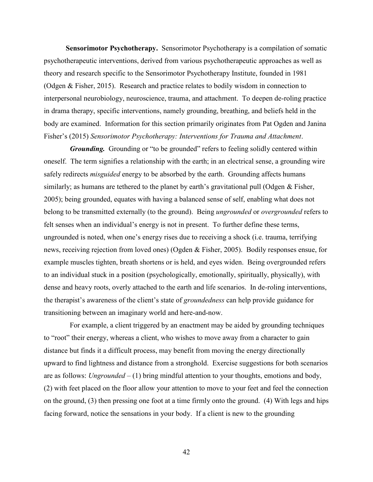**Sensorimotor Psychotherapy.** Sensorimotor Psychotherapy is a compilation of somatic psychotherapeutic interventions, derived from various psychotherapeutic approaches as well as theory and research specific to the Sensorimotor Psychotherapy Institute, founded in 1981 (Odgen & Fisher, 2015). Research and practice relates to bodily wisdom in connection to interpersonal neurobiology, neuroscience, trauma, and attachment. To deepen de-roling practice in drama therapy, specific interventions, namely grounding, breathing, and beliefs held in the body are examined. Information for this section primarily originates from Pat Ogden and Janina Fisher's (2015) *Sensorimotor Psychotherapy: Interventions for Trauma and Attachment*.

*Grounding.* Grounding or "to be grounded" refers to feeling solidly centered within oneself. The term signifies a relationship with the earth; in an electrical sense, a grounding wire safely redirects *misguided* energy to be absorbed by the earth. Grounding affects humans similarly; as humans are tethered to the planet by earth's gravitational pull (Odgen & Fisher, 2005); being grounded, equates with having a balanced sense of self, enabling what does not belong to be transmitted externally (to the ground). Being *ungrounded* or *overgrounded* refers to felt senses when an individual's energy is not in present. To further define these terms, ungrounded is noted, when one's energy rises due to receiving a shock (i.e. trauma, terrifying news, receiving rejection from loved ones) (Ogden & Fisher, 2005). Bodily responses ensue, for example muscles tighten, breath shortens or is held, and eyes widen. Being overgrounded refers to an individual stuck in a position (psychologically, emotionally, spiritually, physically), with dense and heavy roots, overly attached to the earth and life scenarios. In de-roling interventions, the therapist's awareness of the client's state of *groundedness* can help provide guidance for transitioning between an imaginary world and here-and-now.

For example, a client triggered by an enactment may be aided by grounding techniques to "root" their energy, whereas a client, who wishes to move away from a character to gain distance but finds it a difficult process, may benefit from moving the energy directionally upward to find lightness and distance from a stronghold. Exercise suggestions for both scenarios are as follows: *Ungrounded* – (1) bring mindful attention to your thoughts, emotions and body, (2) with feet placed on the floor allow your attention to move to your feet and feel the connection on the ground, (3) then pressing one foot at a time firmly onto the ground. (4) With legs and hips facing forward, notice the sensations in your body. If a client is new to the grounding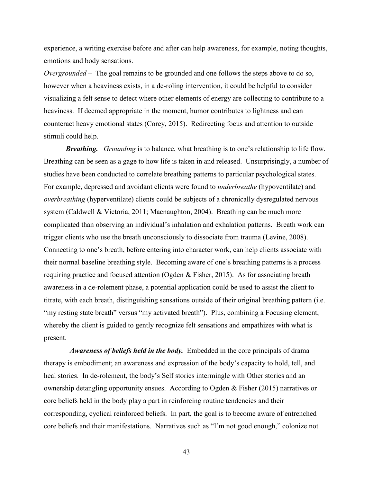experience, a writing exercise before and after can help awareness, for example, noting thoughts, emotions and body sensations.

*Overgrounded* – The goal remains to be grounded and one follows the steps above to do so, however when a heaviness exists, in a de-roling intervention, it could be helpful to consider visualizing a felt sense to detect where other elements of energy are collecting to contribute to a heaviness. If deemed appropriate in the moment, humor contributes to lightness and can counteract heavy emotional states (Corey, 2015). Redirecting focus and attention to outside stimuli could help.

*Breathing. Grounding* is to balance, what breathing is to one's relationship to life flow. Breathing can be seen as a gage to how life is taken in and released. Unsurprisingly, a number of studies have been conducted to correlate breathing patterns to particular psychological states. For example, depressed and avoidant clients were found to *underbreathe* (hypoventilate) and *overbreathing* (hyperventilate) clients could be subjects of a chronically dysregulated nervous system (Caldwell & Victoria, 2011; Macnaughton, 2004). Breathing can be much more complicated than observing an individual's inhalation and exhalation patterns. Breath work can trigger clients who use the breath unconsciously to dissociate from trauma (Levine, 2008). Connecting to one's breath, before entering into character work, can help clients associate with their normal baseline breathing style. Becoming aware of one's breathing patterns is a process requiring practice and focused attention (Ogden & Fisher, 2015). As for associating breath awareness in a de-rolement phase, a potential application could be used to assist the client to titrate, with each breath, distinguishing sensations outside of their original breathing pattern (i.e. "my resting state breath" versus "my activated breath"). Plus, combining a Focusing element, whereby the client is guided to gently recognize felt sensations and empathizes with what is present.

*Awareness of beliefs held in the body.* Embedded in the core principals of drama therapy is embodiment; an awareness and expression of the body's capacity to hold, tell, and heal stories. In de-rolement, the body's Self stories intermingle with Other stories and an ownership detangling opportunity ensues. According to Ogden & Fisher (2015) narratives or core beliefs held in the body play a part in reinforcing routine tendencies and their corresponding, cyclical reinforced beliefs. In part, the goal is to become aware of entrenched core beliefs and their manifestations. Narratives such as "I'm not good enough," colonize not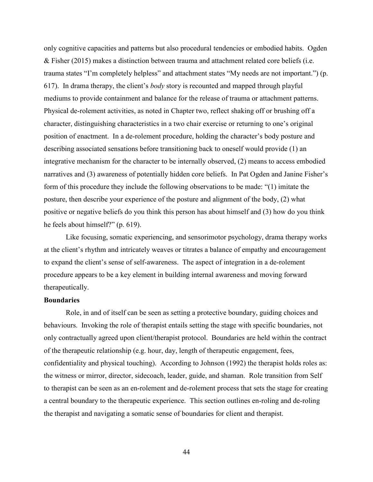only cognitive capacities and patterns but also procedural tendencies or embodied habits. Ogden & Fisher (2015) makes a distinction between trauma and attachment related core beliefs (i.e. trauma states "I'm completely helpless" and attachment states "My needs are not important.") (p. 617). In drama therapy, the client's *body* story is recounted and mapped through playful mediums to provide containment and balance for the release of trauma or attachment patterns. Physical de-rolement activities, as noted in Chapter two, reflect shaking off or brushing off a character, distinguishing characteristics in a two chair exercise or returning to one's original position of enactment. In a de-rolement procedure, holding the character's body posture and describing associated sensations before transitioning back to oneself would provide (1) an integrative mechanism for the character to be internally observed, (2) means to access embodied narratives and (3) awareness of potentially hidden core beliefs. In Pat Ogden and Janine Fisher's form of this procedure they include the following observations to be made: "(1) imitate the posture, then describe your experience of the posture and alignment of the body, (2) what positive or negative beliefs do you think this person has about himself and (3) how do you think he feels about himself?" (p. 619).

Like focusing, somatic experiencing, and sensorimotor psychology, drama therapy works at the client's rhythm and intricately weaves or titrates a balance of empathy and encouragement to expand the client's sense of self-awareness. The aspect of integration in a de-rolement procedure appears to be a key element in building internal awareness and moving forward therapeutically.

# **Boundaries**

Role, in and of itself can be seen as setting a protective boundary, guiding choices and behaviours. Invoking the role of therapist entails setting the stage with specific boundaries, not only contractually agreed upon client/therapist protocol. Boundaries are held within the contract of the therapeutic relationship (e.g. hour, day, length of therapeutic engagement, fees, confidentiality and physical touching). According to Johnson (1992) the therapist holds roles as: the witness or mirror, director, sidecoach, leader, guide, and shaman. Role transition from Self to therapist can be seen as an en-rolement and de-rolement process that sets the stage for creating a central boundary to the therapeutic experience. This section outlines en-roling and de-roling the therapist and navigating a somatic sense of boundaries for client and therapist.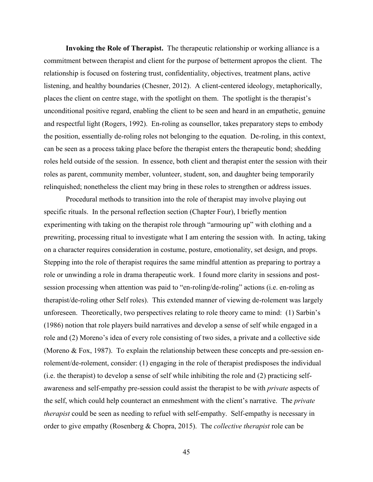**Invoking the Role of Therapist.** The therapeutic relationship or working alliance is a commitment between therapist and client for the purpose of betterment apropos the client. The relationship is focused on fostering trust, confidentiality, objectives, treatment plans, active listening, and healthy boundaries (Chesner, 2012). A client-centered ideology, metaphorically, places the client on centre stage, with the spotlight on them. The spotlight is the therapist's unconditional positive regard, enabling the client to be seen and heard in an empathetic, genuine and respectful light (Rogers, 1992). En-roling as counsellor, takes preparatory steps to embody the position, essentially de-roling roles not belonging to the equation. De-roling, in this context, can be seen as a process taking place before the therapist enters the therapeutic bond; shedding roles held outside of the session. In essence, both client and therapist enter the session with their roles as parent, community member, volunteer, student, son, and daughter being temporarily relinquished; nonetheless the client may bring in these roles to strengthen or address issues.

Procedural methods to transition into the role of therapist may involve playing out specific rituals. In the personal reflection section (Chapter Four), I briefly mention experimenting with taking on the therapist role through "armouring up" with clothing and a prewriting, processing ritual to investigate what I am entering the session with. In acting, taking on a character requires consideration in costume, posture, emotionality, set design, and props. Stepping into the role of therapist requires the same mindful attention as preparing to portray a role or unwinding a role in drama therapeutic work. I found more clarity in sessions and postsession processing when attention was paid to "en-roling/de-roling" actions (i.e. en-roling as therapist/de-roling other Self roles). This extended manner of viewing de-rolement was largely unforeseen. Theoretically, two perspectives relating to role theory came to mind: (1) Sarbin's (1986) notion that role players build narratives and develop a sense of self while engaged in a role and (2) Moreno's idea of every role consisting of two sides, a private and a collective side (Moreno & Fox, 1987). To explain the relationship between these concepts and pre-session enrolement/de-rolement, consider: (1) engaging in the role of therapist predisposes the individual (i.e. the therapist) to develop a sense of self while inhibiting the role and (2) practicing selfawareness and self-empathy pre-session could assist the therapist to be with *private* aspects of the self, which could help counteract an enmeshment with the client's narrative. The *private therapist* could be seen as needing to refuel with self-empathy. Self-empathy is necessary in order to give empathy (Rosenberg & Chopra, 2015). The *collective therapist* role can be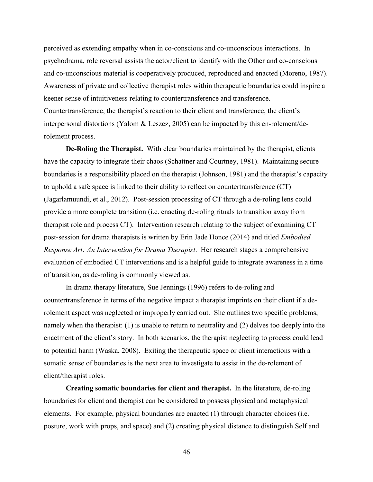perceived as extending empathy when in co-conscious and co-unconscious interactions. In psychodrama, role reversal assists the actor/client to identify with the Other and co-conscious and co-unconscious material is cooperatively produced, reproduced and enacted (Moreno, 1987). Awareness of private and collective therapist roles within therapeutic boundaries could inspire a keener sense of intuitiveness relating to countertransference and transference. Countertransference, the therapist's reaction to their client and transference, the client's interpersonal distortions (Yalom & Leszcz, 2005) can be impacted by this en-rolement/derolement process.

**De-Roling the Therapist.** With clear boundaries maintained by the therapist, clients have the capacity to integrate their chaos (Schattner and Courtney, 1981). Maintaining secure boundaries is a responsibility placed on the therapist (Johnson, 1981) and the therapist's capacity to uphold a safe space is linked to their ability to reflect on countertransference (CT) (Jagarlamuundi, et al., 2012). Post-session processing of CT through a de-roling lens could provide a more complete transition (i.e. enacting de-roling rituals to transition away from therapist role and process CT). Intervention research relating to the subject of examining CT post-session for drama therapists is written by Erin Jade Honce (2014) and titled *Embodied Response Art: An Intervention for Drama Therapist*. Her research stages a comprehensive evaluation of embodied CT interventions and is a helpful guide to integrate awareness in a time of transition, as de-roling is commonly viewed as.

In drama therapy literature, Sue Jennings (1996) refers to de-roling and countertransference in terms of the negative impact a therapist imprints on their client if a derolement aspect was neglected or improperly carried out. She outlines two specific problems, namely when the therapist: (1) is unable to return to neutrality and (2) delves too deeply into the enactment of the client's story. In both scenarios, the therapist neglecting to process could lead to potential harm (Waska, 2008). Exiting the therapeutic space or client interactions with a somatic sense of boundaries is the next area to investigate to assist in the de-rolement of client/therapist roles.

**Creating somatic boundaries for client and therapist.** In the literature, de-roling boundaries for client and therapist can be considered to possess physical and metaphysical elements. For example, physical boundaries are enacted (1) through character choices (i.e. posture, work with props, and space) and (2) creating physical distance to distinguish Self and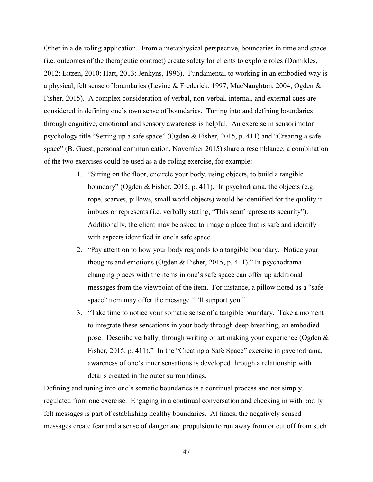Other in a de-roling application. From a metaphysical perspective, boundaries in time and space (i.e. outcomes of the therapeutic contract) create safety for clients to explore roles (Domikles, 2012; Eitzen, 2010; Hart, 2013; Jenkyns, 1996). Fundamental to working in an embodied way is a physical, felt sense of boundaries (Levine & Frederick, 1997; MacNaughton, 2004; Ogden & Fisher, 2015). A complex consideration of verbal, non-verbal, internal, and external cues are considered in defining one's own sense of boundaries. Tuning into and defining boundaries through cognitive, emotional and sensory awareness is helpful. An exercise in sensorimotor psychology title "Setting up a safe space" (Ogden & Fisher, 2015, p. 411) and "Creating a safe space" (B. Guest, personal communication, November 2015) share a resemblance; a combination of the two exercises could be used as a de-roling exercise, for example:

- 1. "Sitting on the floor, encircle your body, using objects, to build a tangible boundary" (Ogden & Fisher, 2015, p. 411). In psychodrama, the objects (e.g. rope, scarves, pillows, small world objects) would be identified for the quality it imbues or represents (i.e. verbally stating, "This scarf represents security"). Additionally, the client may be asked to image a place that is safe and identify with aspects identified in one's safe space.
- 2. "Pay attention to how your body responds to a tangible boundary. Notice your thoughts and emotions (Ogden & Fisher, 2015, p. 411)." In psychodrama changing places with the items in one's safe space can offer up additional messages from the viewpoint of the item. For instance, a pillow noted as a "safe space" item may offer the message "I'll support you."
- 3. "Take time to notice your somatic sense of a tangible boundary. Take a moment to integrate these sensations in your body through deep breathing, an embodied pose. Describe verbally, through writing or art making your experience (Ogden & Fisher, 2015, p. 411)." In the "Creating a Safe Space" exercise in psychodrama, awareness of one's inner sensations is developed through a relationship with details created in the outer surroundings.

Defining and tuning into one's somatic boundaries is a continual process and not simply regulated from one exercise. Engaging in a continual conversation and checking in with bodily felt messages is part of establishing healthy boundaries. At times, the negatively sensed messages create fear and a sense of danger and propulsion to run away from or cut off from such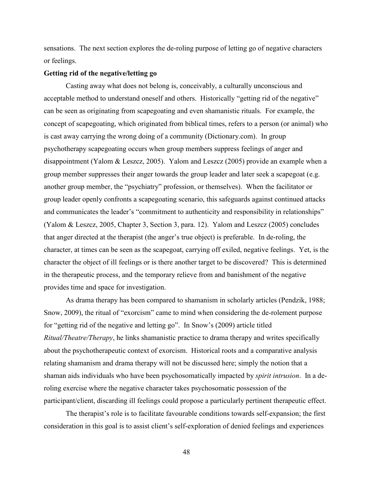sensations. The next section explores the de-roling purpose of letting go of negative characters or feelings.

## **Getting rid of the negative/letting go**

Casting away what does not belong is, conceivably, a culturally unconscious and acceptable method to understand oneself and others. Historically "getting rid of the negative" can be seen as originating from scapegoating and even shamanistic rituals. For example, the concept of scapegoating, which originated from biblical times, refers to a person (or animal) who is cast away carrying the wrong doing of a community (Dictionary.com). In group psychotherapy scapegoating occurs when group members suppress feelings of anger and disappointment (Yalom & Leszcz, 2005). Yalom and Leszcz (2005) provide an example when a group member suppresses their anger towards the group leader and later seek a scapegoat (e.g. another group member, the "psychiatry" profession, or themselves). When the facilitator or group leader openly confronts a scapegoating scenario, this safeguards against continued attacks and communicates the leader's "commitment to authenticity and responsibility in relationships" (Yalom & Leszcz, 2005, Chapter 3, Section 3, para. 12). Yalom and Leszcz (2005) concludes that anger directed at the therapist (the anger's true object) is preferable. In de-roling, the character, at times can be seen as the scapegoat, carrying off exiled, negative feelings. Yet, is the character the object of ill feelings or is there another target to be discovered? This is determined in the therapeutic process, and the temporary relieve from and banishment of the negative provides time and space for investigation.

As drama therapy has been compared to shamanism in scholarly articles (Pendzik, 1988; Snow, 2009), the ritual of "exorcism" came to mind when considering the de-rolement purpose for "getting rid of the negative and letting go". In Snow's (2009) article titled *Ritual/Theatre/Therapy*, he links shamanistic practice to drama therapy and writes specifically about the psychotherapeutic context of exorcism. Historical roots and a comparative analysis relating shamanism and drama therapy will not be discussed here; simply the notion that a shaman aids individuals who have been psychosomatically impacted by *spirit intrusion*. In a deroling exercise where the negative character takes psychosomatic possession of the participant/client, discarding ill feelings could propose a particularly pertinent therapeutic effect.

The therapist's role is to facilitate favourable conditions towards self-expansion; the first consideration in this goal is to assist client's self-exploration of denied feelings and experiences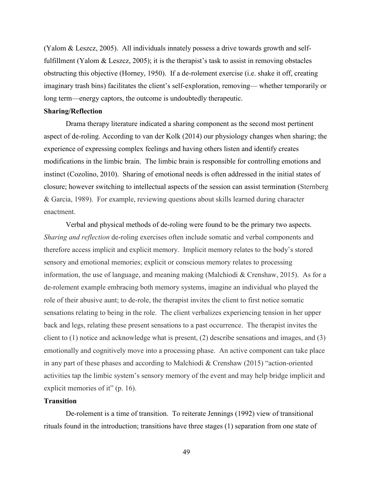(Yalom & Leszcz, 2005). All individuals innately possess a drive towards growth and selffulfillment (Yalom & Leszcz, 2005); it is the therapist's task to assist in removing obstacles obstructing this objective (Horney, 1950). If a de-rolement exercise (i.e. shake it off, creating imaginary trash bins) facilitates the client's self-exploration, removing— whether temporarily or long term—energy captors, the outcome is undoubtedly therapeutic.

## **Sharing/Reflection**

Drama therapy literature indicated a sharing component as the second most pertinent aspect of de-roling. According to van der Kolk (2014) our physiology changes when sharing; the experience of expressing complex feelings and having others listen and identify creates modifications in the limbic brain. The limbic brain is responsible for controlling emotions and instinct (Cozolino, 2010). Sharing of emotional needs is often addressed in the initial states of closure; however switching to intellectual aspects of the session can assist termination (Sternberg & Garcia, 1989). For example, reviewing questions about skills learned during character enactment.

Verbal and physical methods of de-roling were found to be the primary two aspects. *Sharing and reflection* de-roling exercises often include somatic and verbal components and therefore access implicit and explicit memory. Implicit memory relates to the body's stored sensory and emotional memories; explicit or conscious memory relates to processing information, the use of language, and meaning making (Malchiodi & Crenshaw, 2015). As for a de-rolement example embracing both memory systems, imagine an individual who played the role of their abusive aunt; to de-role, the therapist invites the client to first notice somatic sensations relating to being in the role. The client verbalizes experiencing tension in her upper back and legs, relating these present sensations to a past occurrence. The therapist invites the client to (1) notice and acknowledge what is present, (2) describe sensations and images, and (3) emotionally and cognitively move into a processing phase. An active component can take place in any part of these phases and according to Malchiodi & Crenshaw (2015) "action-oriented activities tap the limbic system's sensory memory of the event and may help bridge implicit and explicit memories of it" (p. 16).

## **Transition**

De-rolement is a time of transition. To reiterate Jennings (1992) view of transitional rituals found in the introduction; transitions have three stages (1) separation from one state of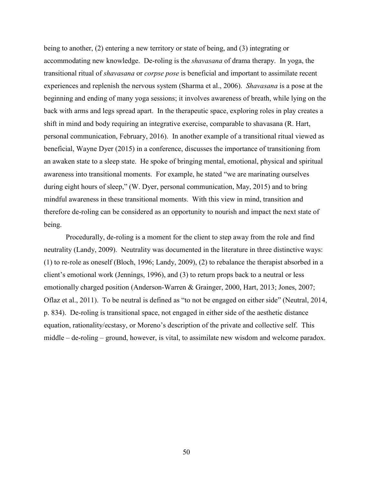being to another, (2) entering a new territory or state of being, and (3) integrating or accommodating new knowledge. De-roling is the *shavasana* of drama therapy. In yoga, the transitional ritual of *shavasana* or *corpse pose* is beneficial and important to assimilate recent experiences and replenish the nervous system (Sharma et al., 2006). *Shavasana* is a pose at the beginning and ending of many yoga sessions; it involves awareness of breath, while lying on the back with arms and legs spread apart. In the therapeutic space, exploring roles in play creates a shift in mind and body requiring an integrative exercise, comparable to shavasana (R. Hart, personal communication, February, 2016). In another example of a transitional ritual viewed as beneficial, Wayne Dyer (2015) in a conference, discusses the importance of transitioning from an awaken state to a sleep state. He spoke of bringing mental, emotional, physical and spiritual awareness into transitional moments. For example, he stated "we are marinating ourselves during eight hours of sleep," (W. Dyer, personal communication, May, 2015) and to bring mindful awareness in these transitional moments. With this view in mind, transition and therefore de-roling can be considered as an opportunity to nourish and impact the next state of being.

Procedurally, de-roling is a moment for the client to step away from the role and find neutrality (Landy, 2009). Neutrality was documented in the literature in three distinctive ways: (1) to re-role as oneself (Bloch, 1996; Landy, 2009), (2) to rebalance the therapist absorbed in a client's emotional work (Jennings, 1996), and (3) to return props back to a neutral or less emotionally charged position (Anderson-Warren & Grainger, 2000, Hart, 2013; Jones, 2007; Oflaz et al., 2011). To be neutral is defined as "to not be engaged on either side" (Neutral, 2014, p. 834). De-roling is transitional space, not engaged in either side of the aesthetic distance equation, rationality/ecstasy, or Moreno's description of the private and collective self. This middle – de-roling – ground, however, is vital, to assimilate new wisdom and welcome paradox.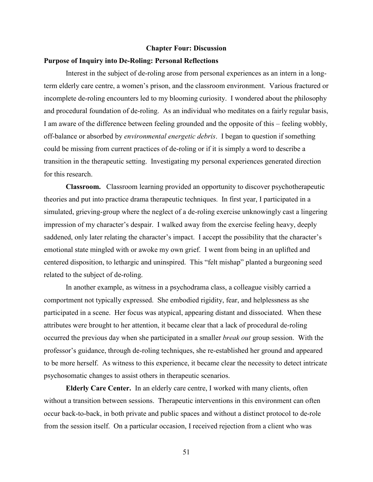#### **Chapter Four: Discussion**

#### **Purpose of Inquiry into De-Roling: Personal Reflections**

Interest in the subject of de-roling arose from personal experiences as an intern in a longterm elderly care centre, a women's prison, and the classroom environment. Various fractured or incomplete de-roling encounters led to my blooming curiosity. I wondered about the philosophy and procedural foundation of de-roling. As an individual who meditates on a fairly regular basis, I am aware of the difference between feeling grounded and the opposite of this – feeling wobbly, off-balance or absorbed by *environmental energetic debris*. I began to question if something could be missing from current practices of de-roling or if it is simply a word to describe a transition in the therapeutic setting. Investigating my personal experiences generated direction for this research.

**Classroom.** Classroom learning provided an opportunity to discover psychotherapeutic theories and put into practice drama therapeutic techniques. In first year, I participated in a simulated, grieving-group where the neglect of a de-roling exercise unknowingly cast a lingering impression of my character's despair. I walked away from the exercise feeling heavy, deeply saddened, only later relating the character's impact. I accept the possibility that the character's emotional state mingled with or awoke my own grief. I went from being in an uplifted and centered disposition, to lethargic and uninspired. This "felt mishap" planted a burgeoning seed related to the subject of de-roling.

In another example, as witness in a psychodrama class, a colleague visibly carried a comportment not typically expressed. She embodied rigidity, fear, and helplessness as she participated in a scene. Her focus was atypical, appearing distant and dissociated. When these attributes were brought to her attention, it became clear that a lack of procedural de-roling occurred the previous day when she participated in a smaller *break out* group session. With the professor's guidance, through de-roling techniques, she re-established her ground and appeared to be more herself. As witness to this experience, it became clear the necessity to detect intricate psychosomatic changes to assist others in therapeutic scenarios.

**Elderly Care Center.** In an elderly care centre, I worked with many clients, often without a transition between sessions. Therapeutic interventions in this environment can often occur back-to-back, in both private and public spaces and without a distinct protocol to de-role from the session itself. On a particular occasion, I received rejection from a client who was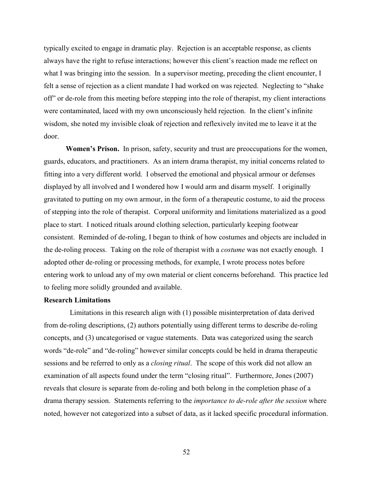typically excited to engage in dramatic play. Rejection is an acceptable response, as clients always have the right to refuse interactions; however this client's reaction made me reflect on what I was bringing into the session. In a supervisor meeting, preceding the client encounter, I felt a sense of rejection as a client mandate I had worked on was rejected. Neglecting to "shake off" or de-role from this meeting before stepping into the role of therapist, my client interactions were contaminated, laced with my own unconsciously held rejection. In the client's infinite wisdom, she noted my invisible cloak of rejection and reflexively invited me to leave it at the door.

**Women's Prison.** In prison, safety, security and trust are preoccupations for the women, guards, educators, and practitioners. As an intern drama therapist, my initial concerns related to fitting into a very different world. I observed the emotional and physical armour or defenses displayed by all involved and I wondered how I would arm and disarm myself. I originally gravitated to putting on my own armour, in the form of a therapeutic costume, to aid the process of stepping into the role of therapist. Corporal uniformity and limitations materialized as a good place to start. I noticed rituals around clothing selection, particularly keeping footwear consistent. Reminded of de-roling, I began to think of how costumes and objects are included in the de-roling process. Taking on the role of therapist with a *costume* was not exactly enough. I adopted other de-roling or processing methods, for example, I wrote process notes before entering work to unload any of my own material or client concerns beforehand. This practice led to feeling more solidly grounded and available.

## **Research Limitations**

Limitations in this research align with (1) possible misinterpretation of data derived from de-roling descriptions, (2) authors potentially using different terms to describe de-roling concepts, and (3) uncategorised or vague statements. Data was categorized using the search words "de-role" and "de-roling" however similar concepts could be held in drama therapeutic sessions and be referred to only as a *closing ritual*. The scope of this work did not allow an examination of all aspects found under the term "closing ritual". Furthermore, Jones (2007) reveals that closure is separate from de-roling and both belong in the completion phase of a drama therapy session. Statements referring to the *importance to de-role after the session* where noted, however not categorized into a subset of data, as it lacked specific procedural information.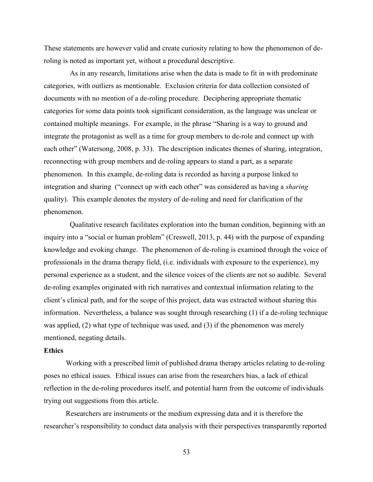These statements are however valid and create curiosity relating to how the phenomenon of deroling is noted as important yet, without a procedural descriptive.

As in any research, limitations arise when the data is made to fit in with predominate categories, with outliers as mentionable. Exclusion criteria for data collection consisted of documents with no mention of a de-roling procedure. Deciphering appropriate thematic categories for some data points took significant consideration, as the language was unclear or contained multiple meanings. For example, in the phrase "Sharing is a way to ground and integrate the protagonist as well as a time for group members to de-role and connect up with each other" (Watersong, 2008, p. 33). The description indicates themes of sharing, integration, reconnecting with group members and de-roling appears to stand a part, as a separate phenomenon. In this example, de-roling data is recorded as having a purpose linked to integration and sharing ("connect up with each other" was considered as having a *sharing* quality). This example denotes the mystery of de-roling and need for clarification of the phenomenon.

Qualitative research facilitates exploration into the human condition, beginning with an inquiry into a "social or human problem" (Creswell, 2013, p. 44) with the purpose of expanding knowledge and evoking change. The phenomenon of de-roling is examined through the voice of professionals in the drama therapy field, (i.e. individuals with exposure to the experience), my personal experience as a student, and the silence voices of the clients are not so audible. Several de-roling examples originated with rich narratives and contextual information relating to the client's clinical path, and for the scope of this project, data was extracted without sharing this information. Nevertheless, a balance was sought through researching (1) if a de-roling technique was applied, (2) what type of technique was used, and (3) if the phenomenon was merely mentioned, negating details.

### **Ethics**

Working with a prescribed limit of published drama therapy articles relating to de-roling poses no ethical issues. Ethical issues can arise from the researchers bias, a lack of ethical reflection in the de-roling procedures itself, and potential harm from the outcome of individuals trying out suggestions from this article.

Researchers are instruments or the medium expressing data and it is therefore the researcher's responsibility to conduct data analysis with their perspectives transparently reported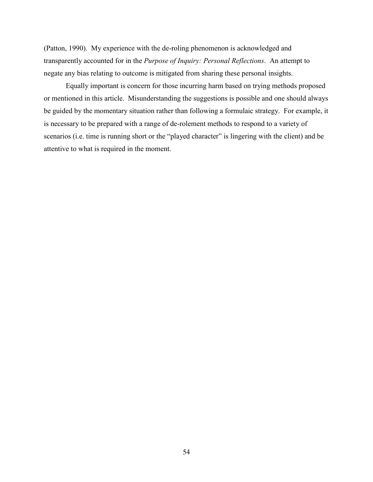(Patton, 1990). My experience with the de-roling phenomenon is acknowledged and transparently accounted for in the *Purpose of Inquiry: Personal Reflections*. An attempt to negate any bias relating to outcome is mitigated from sharing these personal insights.

Equally important is concern for those incurring harm based on trying methods proposed or mentioned in this article. Misunderstanding the suggestions is possible and one should always be guided by the momentary situation rather than following a formulaic strategy. For example, it is necessary to be prepared with a range of de-rolement methods to respond to a variety of scenarios (i.e. time is running short or the "played character" is lingering with the client) and be attentive to what is required in the moment.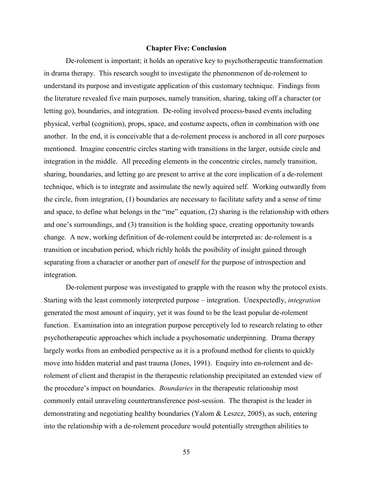### **Chapter Five: Conclusion**

De-rolement is important; it holds an operative key to psychotherapeutic transformation in drama therapy. This research sought to investigate the phenonmenon of de-rolement to understand its purpose and investigate application of this customary technique. Findings from the literature revealed five main purposes, namely transition, sharing, taking off a character (or letting go), boundaries, and integration. De-roling involved process-based events including physical, verbal (cognition), props, space, and costume aspects, often in combination with one another. In the end, it is conceivable that a de-rolement process is anchored in all core purposes mentioned. Imagine concentric circles starting with transitions in the larger, outside circle and integration in the middle. All preceding elements in the concentric circles, namely transition, sharing, boundaries, and letting go are present to arrive at the core implication of a de-rolement technique, which is to integrate and assimulate the newly aquired self. Working outwardly from the circle, from integration, (1) boundaries are necessary to facilitate safety and a sense of time and space, to define what belongs in the "me" equation, (2) sharing is the relationship with others and one's surroundings, and (3) transition is the holding space, creating opportunity towards change. A new, working definition of de-rolement could be interpreted as: de-rolement is a transition or incubation period, which richly holds the posibility of insight gained through separating from a character or another part of oneself for the purpose of introspection and integration.

De-rolement purpose was investigated to grapple with the reason why the protocol exists. Starting with the least commonly interpreted purpose – integration. Unexpectedly, *integration* generated the most amount of inquiry, yet it was found to be the least popular de-rolement function. Examination into an integration purpose perceptively led to research relating to other psychotherapeutic approaches which include a psychosomatic underpinning. Drama therapy largely works from an embodied perspective as it is a profound method for clients to quickly move into hidden material and past trauma (Jones, 1991). Enquiry into en-rolement and derolement of client and therapist in the therapeutic relationship precipitated an extended view of the procedure's impact on boundaries. *Boundaries* in the therapeutic relationship most commonly entail unraveling countertransference post-session. The therapist is the leader in demonstrating and negotiating healthy boundaries (Yalom & Leszcz, 2005), as such, entering into the relationship with a de-rolement procedure would potentially strengthen abilities to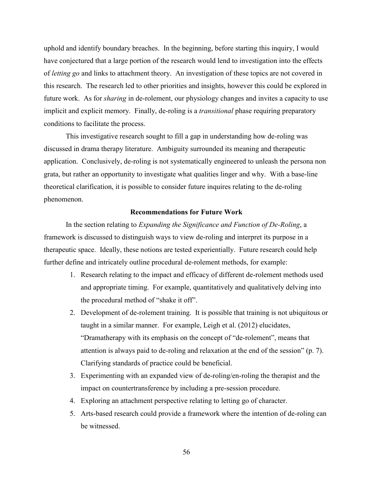uphold and identify boundary breaches. In the beginning, before starting this inquiry, I would have conjectured that a large portion of the research would lend to investigation into the effects of *letting go* and links to attachment theory. An investigation of these topics are not covered in this research. The research led to other priorities and insights, however this could be explored in future work. As for *sharing* in de-rolement, our physiology changes and invites a capacity to use implicit and explicit memory. Finally, de-roling is a *transitional* phase requiring preparatory conditions to facilitate the process.

This investigative research sought to fill a gap in understanding how de-roling was discussed in drama therapy literature. Ambiguity surrounded its meaning and therapeutic application. Conclusively, de-roling is not systematically engineered to unleash the persona non grata, but rather an opportunity to investigate what qualities linger and why. With a base-line theoretical clarification, it is possible to consider future inquires relating to the de-roling phenomenon.

# **Recommendations for Future Work**

In the section relating to *Expanding the Significance and Function of De-Roling*, a framework is discussed to distinguish ways to view de-roling and interpret its purpose in a therapeutic space. Ideally, these notions are tested experientially. Future research could help further define and intricately outline procedural de-rolement methods, for example:

- 1. Research relating to the impact and efficacy of different de-rolement methods used and appropriate timing. For example, quantitatively and qualitatively delving into the procedural method of "shake it off".
- 2. Development of de-rolement training. It is possible that training is not ubiquitous or taught in a similar manner. For example, Leigh et al. (2012) elucidates, "Dramatherapy with its emphasis on the concept of "de-rolement", means that attention is always paid to de-roling and relaxation at the end of the session" (p. 7). Clarifying standards of practice could be beneficial.
- 3. Experimenting with an expanded view of de-roling/en-roling the therapist and the impact on countertransference by including a pre-session procedure.
- 4. Exploring an attachment perspective relating to letting go of character.
- 5. Arts-based research could provide a framework where the intention of de-roling can be witnessed.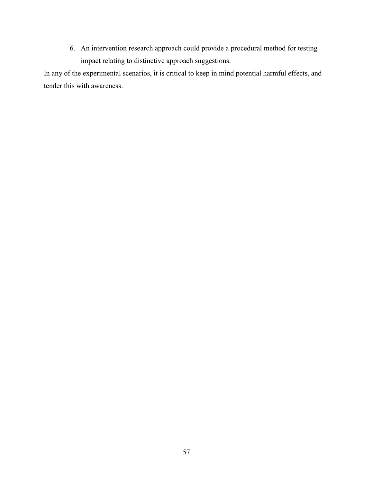6. An intervention research approach could provide a procedural method for testing impact relating to distinctive approach suggestions.

In any of the experimental scenarios, it is critical to keep in mind potential harmful effects, and tender this with awareness.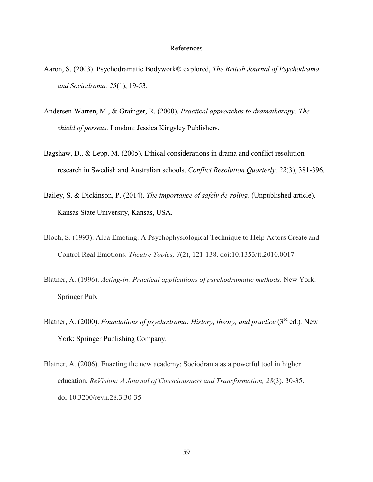### References

- Aaron, S. (2003). Psychodramatic Bodywork® explored, *The British Journal of Psychodrama and Sociodrama, 25*(1), 19-53.
- Andersen-Warren, M., & Grainger, R. (2000). *Practical approaches to dramatherapy: The shield of perseus.* London: Jessica Kingsley Publishers.
- Bagshaw, D., & Lepp, M. (2005). Ethical considerations in drama and conflict resolution research in Swedish and Australian schools. *Conflict Resolution Quarterly, 22*(3), 381-396.
- Bailey, S. & Dickinson, P. (2014). *The importance of safely de-roling*. (Unpublished article). Kansas State University, Kansas, USA.
- Bloch, S. (1993). Alba Emoting: A Psychophysiological Technique to Help Actors Create and Control Real Emotions. *Theatre Topics, 3*(2), 121-138. doi:10.1353/tt.2010.0017
- Blatner, A. (1996). *Acting-in: Practical applications of psychodramatic methods*. New York: Springer Pub.
- Blatner, A. (2000). *Foundations of psychodrama: History, theory, and practice* (3<sup>rd</sup> ed.). New York: Springer Publishing Company.
- Blatner, A. (2006). Enacting the new academy: Sociodrama as a powerful tool in higher education. *ReVision: A Journal of Consciousness and Transformation, 28*(3), 30-35. doi:10.3200/revn.28.3.30-35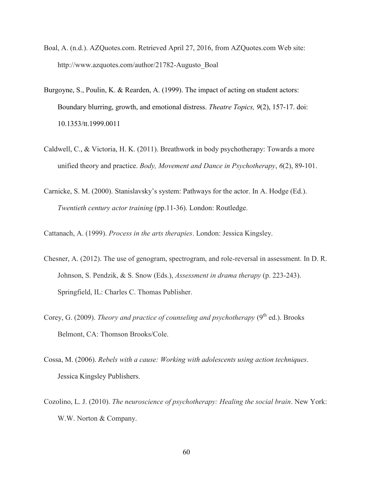- Boal, A. (n.d.). AZQuotes.com. Retrieved April 27, 2016, from AZQuotes.com Web site: http://www.azquotes.com/author/21782-Augusto\_Boal
- Burgoyne, S., Poulin, K. & Rearden, A. (1999). The impact of acting on student actors: Boundary blurring, growth, and emotional distress. *Theatre Topics, 9*(2), 157-17. doi: 10.1353/tt.1999.0011
- Caldwell, C., & Victoria, H. K. (2011). Breathwork in body psychotherapy: Towards a more unified theory and practice. *Body, Movement and Dance in Psychotherapy*, *6*(2), 89-101.
- Carnicke, S. M. (2000). Stanislavsky's system: Pathways for the actor. In A. Hodge (Ed.). *Twentieth century actor training* (pp.11-36). London: Routledge.
- Cattanach, A. (1999). *Process in the arts therapies*. London: Jessica Kingsley.
- Chesner, A. (2012). The use of genogram, spectrogram, and role-reversal in assessment. In D. R. Johnson, S. Pendzik, & S. Snow (Eds.), *Assessment in drama therapy* (p. 223-243). Springfield, IL: Charles C. Thomas Publisher.
- Corey, G. (2009). *Theory and practice of counseling and psychotherapy* (9<sup>th</sup> ed.). Brooks Belmont, CA: Thomson Brooks/Cole.
- Cossa, M. (2006). *Rebels with a cause: Working with adolescents using action techniques*. Jessica Kingsley Publishers.
- Cozolino, L. J. (2010). *The neuroscience of psychotherapy: Healing the social brain*. New York: W.W. Norton & Company.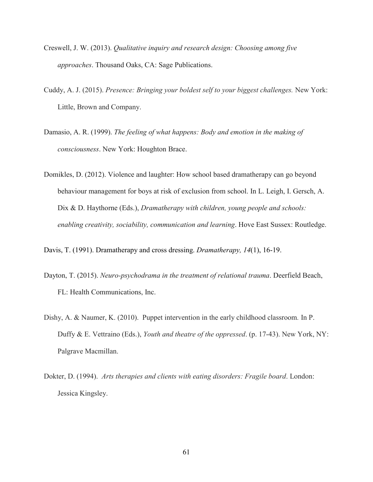- Creswell, J. W. (2013). *Qualitative inquiry and research design: Choosing among five approaches*. Thousand Oaks, CA: Sage Publications.
- Cuddy, A. J. (2015). *Presence: Bringing your boldest self to your biggest challenges.* New York: Little, Brown and Company.
- Damasio, A. R. (1999). *The feeling of what happens: Body and emotion in the making of consciousness*. New York: Houghton Brace.
- Domikles, D. (2012). Violence and laughter: How school based dramatherapy can go beyond behaviour management for boys at risk of exclusion from school. In L. Leigh, I. Gersch, A. Dix & D. Haythorne (Eds.), *Dramatherapy with children, young people and schools: enabling creativity, sociability, communication and learning*. Hove East Sussex: Routledge.

Davis, T. (1991). Dramatherapy and cross dressing. *Dramatherapy, 14*(1), 16-19.

- Dayton, T. (2015). *Neuro-psychodrama in the treatment of relational trauma*. Deerfield Beach, FL: Health Communications, Inc.
- Dishy, A. & Naumer, K. (2010). Puppet intervention in the early childhood classroom*.* In P. Duffy & E. Vettraino (Eds.), *Youth and theatre of the oppressed*. (p. 17-43). New York, NY: Palgrave Macmillan.
- Dokter, D. (1994). *Arts therapies and clients with eating disorders: Fragile board*. London: Jessica Kingsley.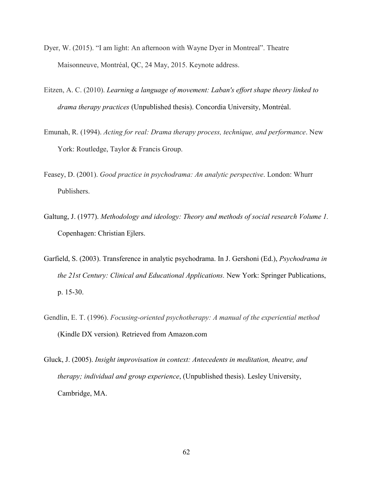- Dyer, W. (2015). "I am light: An afternoon with Wayne Dyer in Montreal". Theatre Maisonneuve, Montréal, QC, 24 May, 2015. Keynote address.
- Eitzen, A. C. (2010). *Learning a language of movement: Laban's effort shape theory linked to drama therapy practices* (Unpublished thesis). Concordia University, Montréal.
- Emunah, R. (1994). *Acting for real: Drama therapy process, technique, and performance*. New York: Routledge, Taylor & Francis Group.
- Feasey, D. (2001). *Good practice in psychodrama: An analytic perspective*. London: Whurr Publishers.
- Galtung, J. (1977). *Methodology and ideology: Theory and methods of social research Volume 1.*  Copenhagen: Christian Ejlers.
- Garfield, S. (2003). Transference in analytic psychodrama. In J. Gershoni (Ed.), *Psychodrama in the 21st Century: Clinical and Educational Applications.* New York: Springer Publications, p. 15-30.
- Gendlin, E. T. (1996). *Focusing-oriented psychotherapy: A manual of the experiential method* (Kindle DX version)*.* Retrieved from Amazon.com
- Gluck, J. (2005). *Insight improvisation in context: Antecedents in meditation, theatre, and therapy; individual and group experience*, (Unpublished thesis). Lesley University, Cambridge, MA.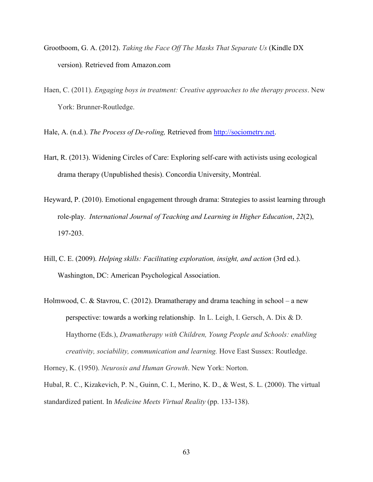- Grootboom, G. A. (2012). *Taking the Face Off The Masks That Separate Us* (Kindle DX version)*.* Retrieved from Amazon.com
- Haen, C. (2011). *Engaging boys in treatment: Creative approaches to the therapy process*. New York: Brunner-Routledge.

Hale, A. (n.d.). *The Process of De-roling,* Retrieved from [http://sociometry.net.](http://sociometry.net/)

- Hart, R. (2013). Widening Circles of Care: Exploring self-care with activists using ecological drama therapy (Unpublished thesis). Concordia University, Montréal.
- Heyward, P. (2010). Emotional engagement through drama: Strategies to assist learning through role-play. *International Journal of Teaching and Learning in Higher Education*, *22*(2), 197-203.
- Hill, C. E. (2009). *Helping skills: Facilitating exploration, insight, and action* (3rd ed.). Washington, DC: American Psychological Association.
- Holmwood, C. & Stavrou, C. (2012). Dramatherapy and drama teaching in school a new perspective: towards a working relationship. In L. Leigh, I. Gersch, A. Dix & D. Haythorne (Eds.), *Dramatherapy with Children, Young People and Schools: enabling creativity, sociability, communication and learning.* Hove East Sussex: Routledge.

Horney, K. (1950). *Neurosis and Human Growth*. New York: Norton.

Hubal, R. C., Kizakevich, P. N., Guinn, C. I., Merino, K. D., & West, S. L. (2000). The virtual standardized patient. In *Medicine Meets Virtual Reality* (pp. 133-138).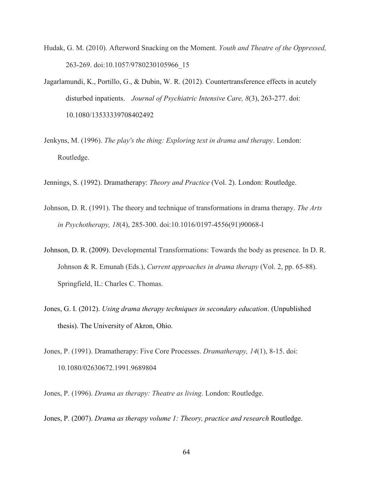- Hudak, G. M. (2010). Afterword Snacking on the Moment. *Youth and Theatre of the Oppressed,* 263-269. doi:10.1057/9780230105966\_15
- Jagarlamundi, K., Portillo, G., & Dubin, W. R. (2012). Countertransference effects in acutely disturbed inpatients. *Journal of Psychiatric Intensive Care, 8*(3), 263-277. doi: 10.1080/13533339708402492
- Jenkyns, M. (1996). *The play's the thing: Exploring text in drama and therapy*. London: Routledge.

Jennings, S. (1992). Dramatherapy: *Theory and Practice* (Vol. 2). London: Routledge.

- Johnson, D. R. (1991). The theory and technique of transformations in drama therapy. *The Arts in Psychotherapy, 18*(4), 285-300. doi:10.1016/0197-4556(91)90068-l
- Johnson, D. R. (2009). Developmental Transformations: Towards the body as presence. In D. R. Johnson & R. Emunah (Eds.), *Current approaches in drama therapy* (Vol. 2, pp. 65-88). Springfield, IL: Charles C. Thomas.
- Jones, G. I. (2012). *Using drama therapy techniques in secondary education*. (Unpublished thesis). The University of Akron, Ohio.
- Jones, P. (1991). Dramatherapy: Five Core Processes. *Dramatherapy, 14*(1), 8-15. doi: 10.1080/02630672.1991.9689804

Jones, P. (1996). *Drama as therapy: Theatre as living*. London: Routledge.

Jones, P. (2007). *Drama as therapy volume 1: Theory, practice and research* Routledge.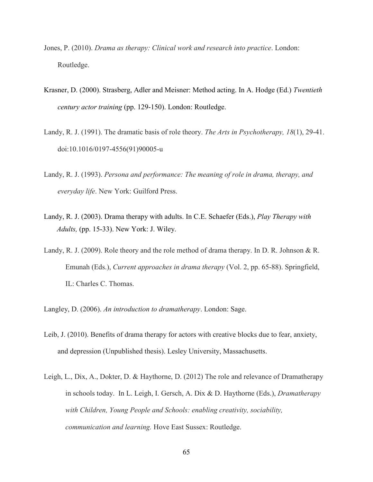- Jones, P. (2010). *Drama as therapy: Clinical work and research into practice*. London: Routledge.
- Krasner, D. (2000). Strasberg, Adler and Meisner: Method acting. In A. Hodge (Ed.) *Twentieth century actor training* (pp. 129-150). London: Routledge.
- Landy, R. J. (1991). The dramatic basis of role theory. *The Arts in Psychotherapy, 18*(1), 29-41. doi:10.1016/0197-4556(91)90005-u
- Landy, R. J. (1993). *Persona and performance: The meaning of role in drama, therapy, and everyday life*. New York: Guilford Press.
- Landy, R. J. (2003). Drama therapy with adults. In C.E. Schaefer (Eds.), *Play Therapy with Adults,* (pp. 15-33). New York: J. Wiley.
- Landy, R. J. (2009). Role theory and the role method of drama therapy. In D. R. Johnson & R. Emunah (Eds.), *Current approaches in drama therapy* (Vol. 2, pp. 65-88). Springfield, IL: Charles C. Thomas.
- Langley, D. (2006). *An introduction to dramatherapy*. London: Sage.
- Leib, J. (2010). Benefits of drama therapy for actors with creative blocks due to fear, anxiety, and depression (Unpublished thesis). Lesley University, Massachusetts.
- Leigh, L., Dix, A., Dokter, D. & Haythorne, D. (2012) The role and relevance of Dramatherapy in schools today. In L. Leigh, I. Gersch, A. Dix & D. Haythorne (Eds.), *Dramatherapy with Children, Young People and Schools: enabling creativity, sociability, communication and learning.* Hove East Sussex: Routledge.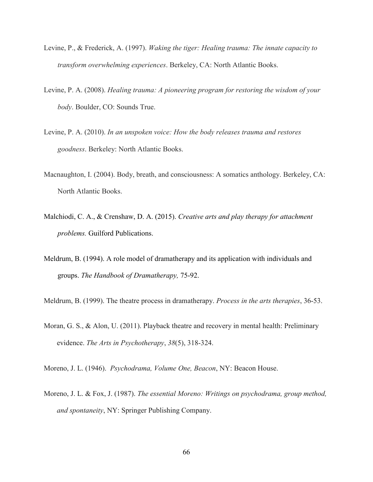- Levine, P., & Frederick, A. (1997). *Waking the tiger: Healing trauma: The innate capacity to transform overwhelming experiences*. Berkeley, CA: North Atlantic Books.
- Levine, P. A. (2008). *Healing trauma: A pioneering program for restoring the wisdom of your body*. Boulder, CO: Sounds True.
- Levine, P. A. (2010). *In an unspoken voice: How the body releases trauma and restores goodness*. Berkeley: North Atlantic Books.
- Macnaughton, I. (2004). Body, breath, and consciousness: A somatics anthology. Berkeley, CA: North Atlantic Books.
- Malchiodi, C. A., & Crenshaw, D. A. (2015). *Creative arts and play therapy for attachment problems.* Guilford Publications.
- Meldrum, B. (1994). A role model of dramatherapy and its application with individuals and groups. *The Handbook of Dramatherapy,* 75-92.
- Meldrum, B. (1999). The theatre process in dramatherapy. *Process in the arts therapies*, 36-53.
- Moran, G. S., & Alon, U. (2011). Playback theatre and recovery in mental health: Preliminary evidence. *The Arts in Psychotherapy*, *38*(5), 318-324.
- Moreno, J. L. (1946). *Psychodrama, Volume One, Beacon*, NY: Beacon House.
- Moreno, J. L. & Fox, J. (1987). *The essential Moreno: Writings on psychodrama, group method, and spontaneity*, NY: Springer Publishing Company.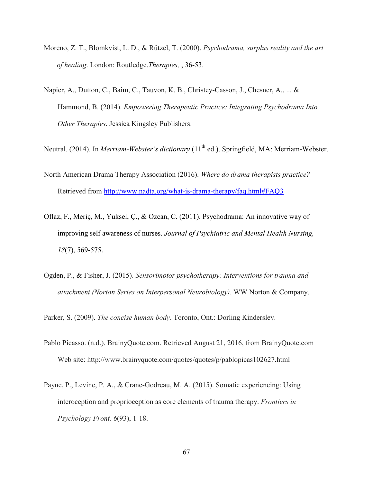- Moreno, Z. T., Blomkvist, L. D., & Rützel, T. (2000). *Psychodrama, surplus reality and the art of healing*. London: Routledge.*Therapies,* , 36-53.
- Napier, A., Dutton, C., Baim, C., Tauvon, K. B., Christey-Casson, J., Chesner, A., ... & Hammond, B. (2014). *Empowering Therapeutic Practice: Integrating Psychodrama Into Other Therapies*. Jessica Kingsley Publishers.
- Neutral. (2014). In *Merriam-Webster's dictionary* (11<sup>th</sup> ed.). Springfield, MA: Merriam-Webster.
- North American Drama Therapy Association (2016). *Where do drama therapists practice?*  Retrieved from<http://www.nadta.org/what-is-drama-therapy/faq.html#FAQ3>
- Oflaz, F., Meriç, M., Yuksel, Ç., & Ozcan, C. (2011). Psychodrama: An innovative way of improving self awareness of nurses. *Journal of Psychiatric and Mental Health Nursing, 18*(7), 569-575.
- Ogden, P., & Fisher, J. (2015). *Sensorimotor psychotherapy: Interventions for trauma and attachment (Norton Series on Interpersonal Neurobiology)*. WW Norton & Company.
- Parker, S. (2009). *The concise human body*. Toronto, Ont.: Dorling Kindersley.
- Pablo Picasso. (n.d.). BrainyQuote.com. Retrieved August 21, 2016, from BrainyQuote.com Web site: http://www.brainyquote.com/quotes/quotes/p/pablopicas102627.html
- Payne, P., Levine, P. A., & Crane-Godreau, M. A. (2015). Somatic experiencing: Using interoception and proprioception as core elements of trauma therapy. *Frontiers in Psychology Front. 6*(93), 1-18.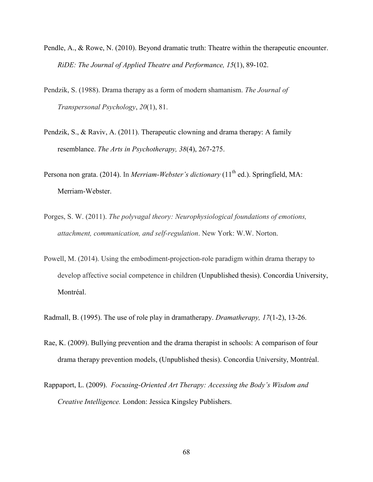- Pendle, A., & Rowe, N. (2010). Beyond dramatic truth: Theatre within the therapeutic encounter. *RiDE: The Journal of Applied Theatre and Performance, 15*(1), 89-102.
- Pendzik, S. (1988). Drama therapy as a form of modern shamanism. *The Journal of Transpersonal Psychology*, *20*(1), 81.
- Pendzik, S., & Raviv, A. (2011). Therapeutic clowning and drama therapy: A family resemblance. *The Arts in Psychotherapy, 38*(4), 267-275.
- Persona non grata. (2014). In *Merriam-Webster's dictionary* (11<sup>th</sup> ed.). Springfield, MA: Merriam-Webster.
- Porges, S. W. (2011). *The polyvagal theory: Neurophysiological foundations of emotions, attachment, communication, and self-regulation*. New York: W.W. Norton.
- Powell, M. (2014). Using the embodiment-projection-role paradigm within drama therapy to develop affective social competence in children (Unpublished thesis). Concordia University, Montréal.
- Radmall, B. (1995). The use of role play in dramatherapy. *Dramatherapy, 17*(1-2), 13-26.
- Rae, K. (2009). Bullying prevention and the drama therapist in schools: A comparison of four drama therapy prevention models, (Unpublished thesis). Concordia University, Montréal.
- Rappaport, L. (2009). *Focusing-Oriented Art Therapy: Accessing the Body's Wisdom and Creative Intelligence.* London: Jessica Kingsley Publishers.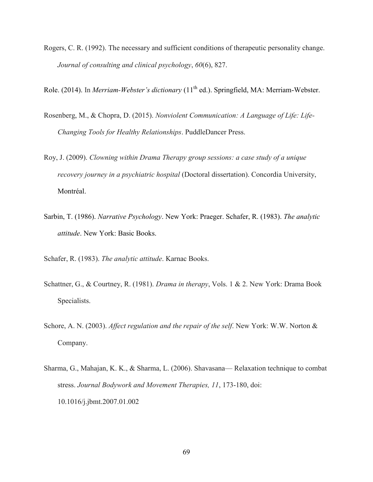- Rogers, C. R. (1992). The necessary and sufficient conditions of therapeutic personality change. *Journal of consulting and clinical psychology*, *60*(6), 827.
- Role. (2014). In *Merriam-Webster's dictionary* (11<sup>th</sup> ed.). Springfield, MA: Merriam-Webster.
- Rosenberg, M., & Chopra, D. (2015). *Nonviolent Communication: A Language of Life: Life-Changing Tools for Healthy Relationships*. PuddleDancer Press.
- Roy, J. (2009). *Clowning within Drama Therapy group sessions: a case study of a unique recovery journey in a psychiatric hospital* (Doctoral dissertation). Concordia University, Montréal.
- Sarbin, T. (1986). *Narrative Psychology*. New York: Praeger. Schafer, R. (1983). *The analytic attitude*. New York: Basic Books.
- Schafer, R. (1983). *The analytic attitude*. Karnac Books.
- Schattner, G., & Courtney, R. (1981). *Drama in therapy*, Vols. 1 & 2. New York: Drama Book Specialists.
- Schore, A. N. (2003). *Affect regulation and the repair of the self*. New York: W.W. Norton & Company.
- Sharma, G., Mahajan, K. K., & Sharma, L. (2006). Shavasana— Relaxation technique to combat stress. *Journal Bodywork and Movement Therapies, 11*, 173-180, doi: 10.1016/j.jbmt.2007.01.002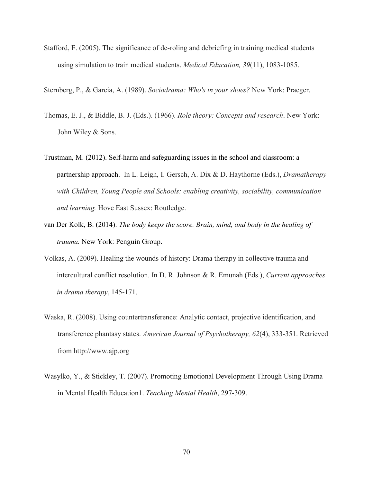Stafford, F. (2005). The significance of de-roling and debriefing in training medical students using simulation to train medical students. *Medical Education, 39*(11), 1083-1085.

Sternberg, P., & Garcia, A. (1989). *Sociodrama: Who's in your shoes?* New York: Praeger.

- Thomas, E. J., & Biddle, B. J. (Eds.). (1966). *Role theory: Concepts and research*. New York: John Wiley & Sons.
- Trustman, M. (2012). Self-harm and safeguarding issues in the school and classroom: a partnership approach. In L. Leigh, I. Gersch, A. Dix & D. Haythorne (Eds.), *Dramatherapy with Children, Young People and Schools: enabling creativity, sociability, communication and learning.* Hove East Sussex: Routledge.
- van Der Kolk, B. (2014). *The body keeps the score. Brain, mind, and body in the healing of trauma.* New York: Penguin Group.
- Volkas, A. (2009). Healing the wounds of history: Drama therapy in collective trauma and intercultural conflict resolution. In D. R. Johnson & R. Emunah (Eds.), *Current approaches in drama therapy*, 145-171.
- Waska, R. (2008). Using countertransference: Analytic contact, projective identification, and transference phantasy states. *American Journal of Psychotherapy, 62*(4), 333-351. Retrieved from http://www.ajp.org
- Wasylko, Y., & Stickley, T. (2007). Promoting Emotional Development Through Using Drama in Mental Health Education1. *Teaching Mental Health*, 297-309.